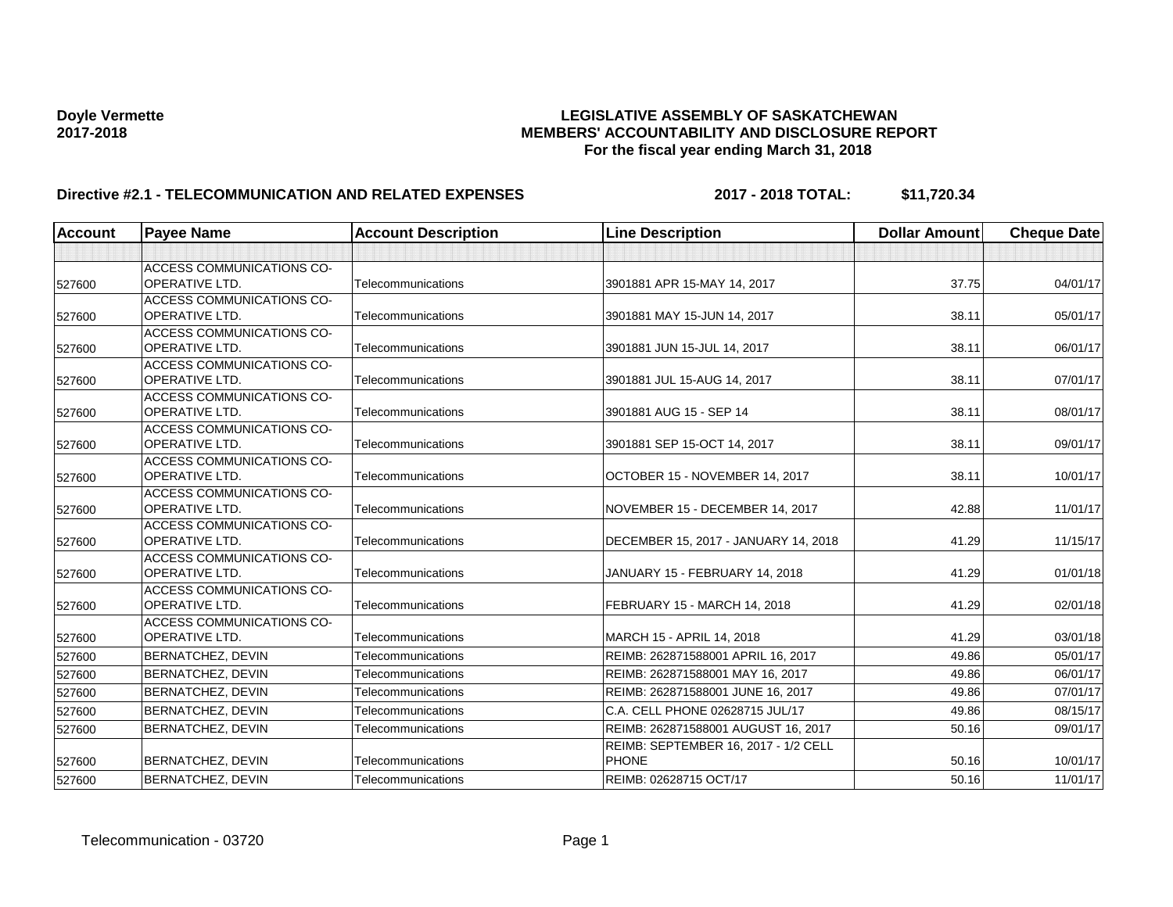# **Doyle Vermette LEGISLATIVE ASSEMBLY OF SASKATCHEWAN 2017-2018 MEMBERS' ACCOUNTABILITY AND DISCLOSURE REPORT For the fiscal year ending March 31, 2018**

# **Directive #2.1 - TELECOMMUNICATION AND RELATED EXPENSES 2017 - 2018 TOTAL: \$11,720.34**

| <b>Account</b> | <b>Payee Name</b>                                         | <b>Account Description</b> | <b>Line Description</b>              | <b>Dollar Amount</b> | <b>Cheque Date</b> |
|----------------|-----------------------------------------------------------|----------------------------|--------------------------------------|----------------------|--------------------|
|                |                                                           |                            |                                      |                      |                    |
|                | <b>ACCESS COMMUNICATIONS CO-</b>                          |                            |                                      |                      |                    |
| 527600         | <b>OPERATIVE LTD.</b>                                     | Telecommunications         | 3901881 APR 15-MAY 14, 2017          | 37.75                | 04/01/17           |
|                | <b>ACCESS COMMUNICATIONS CO-</b>                          |                            |                                      |                      |                    |
| 527600         | OPERATIVE LTD.                                            | Telecommunications         | 3901881 MAY 15-JUN 14, 2017          | 38.11                | 05/01/17           |
|                | <b>ACCESS COMMUNICATIONS CO-</b>                          |                            |                                      |                      |                    |
| 527600         | <b>OPERATIVE LTD.</b>                                     | Telecommunications         | 3901881 JUN 15-JUL 14, 2017          | 38.11                | 06/01/17           |
|                | <b>ACCESS COMMUNICATIONS CO-</b>                          |                            |                                      |                      |                    |
| 527600         | <b>OPERATIVE LTD.</b>                                     | Telecommunications         | 3901881 JUL 15-AUG 14, 2017          | 38.11                | 07/01/17           |
|                | <b>ACCESS COMMUNICATIONS CO-</b>                          |                            |                                      |                      |                    |
| 527600         | <b>OPERATIVE LTD.</b>                                     | Telecommunications         | 3901881 AUG 15 - SEP 14              | 38.11                | 08/01/17           |
|                | ACCESS COMMUNICATIONS CO-                                 |                            |                                      |                      |                    |
| 527600         | <b>OPERATIVE LTD.</b>                                     | Telecommunications         | 3901881 SEP 15-OCT 14, 2017          | 38.11                | 09/01/17           |
|                | <b>ACCESS COMMUNICATIONS CO-</b>                          |                            |                                      |                      |                    |
| 527600         | <b>OPERATIVE LTD.</b>                                     | Telecommunications         | OCTOBER 15 - NOVEMBER 14, 2017       | 38.11                | 10/01/17           |
|                | <b>ACCESS COMMUNICATIONS CO-</b>                          |                            |                                      |                      |                    |
| 527600         | OPERATIVE LTD.                                            | Telecommunications         | NOVEMBER 15 - DECEMBER 14, 2017      | 42.88                | 11/01/17           |
|                | <b>ACCESS COMMUNICATIONS CO-</b>                          |                            |                                      |                      |                    |
| 527600         | <b>OPERATIVE LTD.</b>                                     | Telecommunications         | DECEMBER 15, 2017 - JANUARY 14, 2018 | 41.29                | 11/15/17           |
|                | <b>ACCESS COMMUNICATIONS CO-</b><br><b>OPERATIVE LTD.</b> | Telecommunications         |                                      | 41.29                |                    |
| 527600         |                                                           |                            | JANUARY 15 - FEBRUARY 14, 2018       |                      | 01/01/18           |
|                | <b>ACCESS COMMUNICATIONS CO-</b><br><b>OPERATIVE LTD.</b> | Telecommunications         | FEBRUARY 15 - MARCH 14, 2018         | 41.29                | 02/01/18           |
| 527600         | <b>ACCESS COMMUNICATIONS CO-</b>                          |                            |                                      |                      |                    |
| 527600         | <b>OPERATIVE LTD.</b>                                     | Telecommunications         | MARCH 15 - APRIL 14, 2018            | 41.29                | 03/01/18           |
|                | <b>BERNATCHEZ, DEVIN</b>                                  | Telecommunications         | REIMB: 262871588001 APRIL 16, 2017   | 49.86                | 05/01/17           |
| 527600         |                                                           |                            |                                      |                      |                    |
| 527600         | <b>BERNATCHEZ, DEVIN</b>                                  | Telecommunications         | REIMB: 262871588001 MAY 16, 2017     | 49.86                | 06/01/17           |
| 527600         | <b>BERNATCHEZ, DEVIN</b>                                  | Telecommunications         | REIMB: 262871588001 JUNE 16, 2017    | 49.86                | 07/01/17           |
| 527600         | BERNATCHEZ, DEVIN                                         | Telecommunications         | C.A. CELL PHONE 02628715 JUL/17      | 49.86                | 08/15/17           |
| 527600         | <b>BERNATCHEZ, DEVIN</b>                                  | Telecommunications         | REIMB: 262871588001 AUGUST 16, 2017  | 50.16                | 09/01/17           |
|                |                                                           |                            | REIMB: SEPTEMBER 16, 2017 - 1/2 CELL |                      |                    |
| 527600         | <b>BERNATCHEZ, DEVIN</b>                                  | Telecommunications         | <b>PHONE</b>                         | 50.16                | 10/01/17           |
| 527600         | BERNATCHEZ, DEVIN                                         | Telecommunications         | REIMB: 02628715 OCT/17               | 50.16                | 11/01/17           |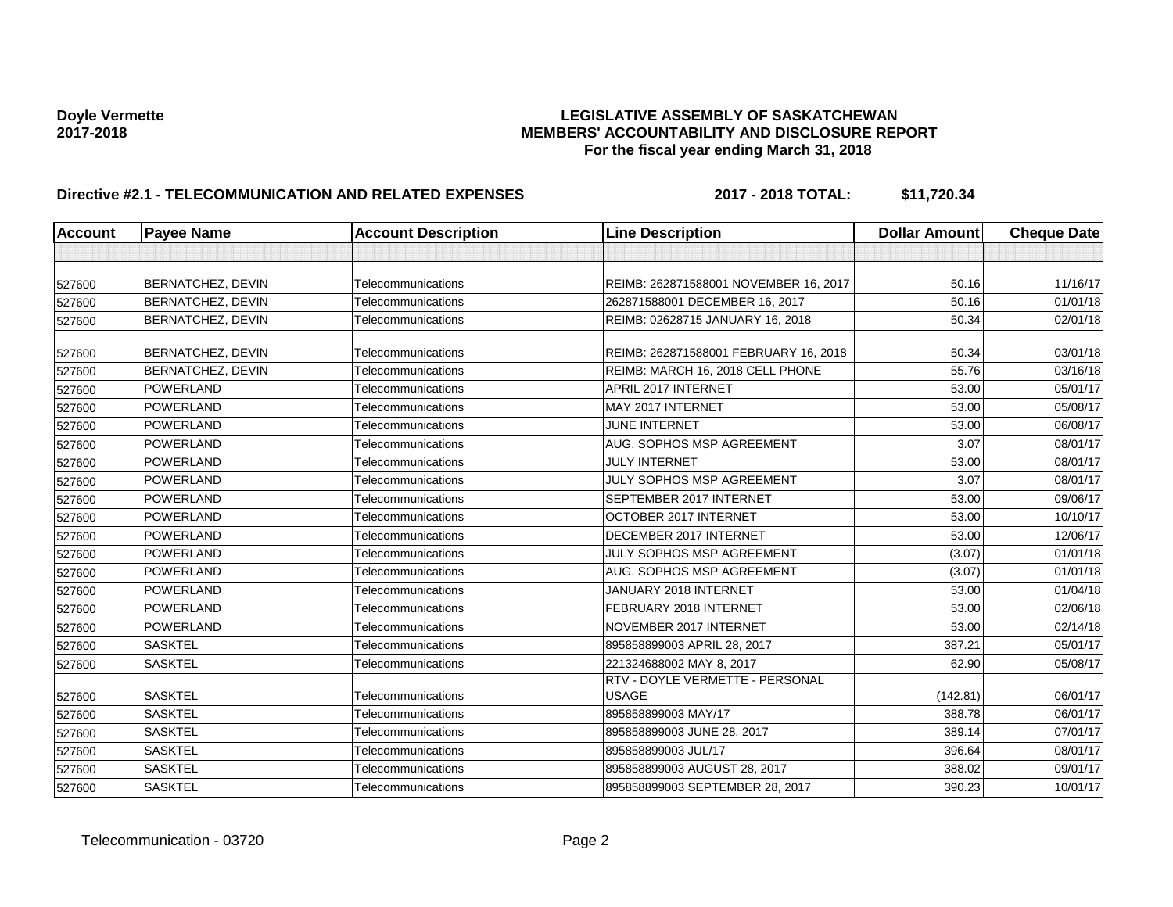# **Doyle Vermette LEGISLATIVE ASSEMBLY OF SASKATCHEWAN 2017-2018 MEMBERS' ACCOUNTABILITY AND DISCLOSURE REPORT For the fiscal year ending March 31, 2018**

# **Directive #2.1 - TELECOMMUNICATION AND RELATED EXPENSES 2017 - 2018 TOTAL: \$11,720.34**

| Account | <b>Payee Name</b>        | <b>Account Description</b> | <b>Line Description</b>                         | <b>Dollar Amount</b> | <b>Cheque Date</b> |
|---------|--------------------------|----------------------------|-------------------------------------------------|----------------------|--------------------|
|         |                          |                            |                                                 |                      |                    |
| 527600  | <b>BERNATCHEZ, DEVIN</b> | Telecommunications         | REIMB: 262871588001 NOVEMBER 16, 2017           | 50.16                | 11/16/17           |
| 527600  | <b>BERNATCHEZ, DEVIN</b> | Telecommunications         | 262871588001 DECEMBER 16, 2017                  | 50.16                | 01/01/18           |
| 527600  | <b>BERNATCHEZ, DEVIN</b> | Telecommunications         | REIMB: 02628715 JANUARY 16, 2018                | 50.34                | 02/01/18           |
| 527600  | BERNATCHEZ, DEVIN        | Telecommunications         | REIMB: 262871588001 FEBRUARY 16, 2018           | 50.34                | 03/01/18           |
| 527600  | BERNATCHEZ, DEVIN        | Telecommunications         | REIMB: MARCH 16, 2018 CELL PHONE                | 55.76                | 03/16/18           |
| 527600  | <b>POWERLAND</b>         | Telecommunications         | APRIL 2017 INTERNET                             | 53.00                | 05/01/17           |
| 527600  | <b>POWERLAND</b>         | Telecommunications         | MAY 2017 INTERNET                               | 53.00                | 05/08/17           |
| 527600  | <b>POWERLAND</b>         | Telecommunications         | <b>JUNE INTERNET</b>                            | 53.00                | 06/08/17           |
| 527600  | <b>POWERLAND</b>         | Telecommunications         | AUG. SOPHOS MSP AGREEMENT                       | 3.07                 | 08/01/17           |
| 527600  | <b>POWERLAND</b>         | Telecommunications         | <b>JULY INTERNET</b>                            | 53.00                | 08/01/17           |
| 527600  | POWERLAND                | Telecommunications         | JULY SOPHOS MSP AGREEMENT                       | 3.07                 | 08/01/17           |
| 527600  | <b>POWERLAND</b>         | Telecommunications         | SEPTEMBER 2017 INTERNET                         | 53.00                | 09/06/17           |
| 527600  | <b>POWERLAND</b>         | Telecommunications         | OCTOBER 2017 INTERNET                           | 53.00                | 10/10/17           |
| 527600  | <b>POWERLAND</b>         | Telecommunications         | DECEMBER 2017 INTERNET                          | 53.00                | 12/06/17           |
| 527600  | <b>POWERLAND</b>         | Telecommunications         | JULY SOPHOS MSP AGREEMENT                       | (3.07)               | 01/01/18           |
| 527600  | <b>POWERLAND</b>         | Telecommunications         | AUG. SOPHOS MSP AGREEMENT                       | (3.07)               | 01/01/18           |
| 527600  | <b>POWERLAND</b>         | Telecommunications         | JANUARY 2018 INTERNET                           | 53.00                | 01/04/18           |
| 527600  | <b>POWERLAND</b>         | Telecommunications         | FEBRUARY 2018 INTERNET                          | 53.00                | 02/06/18           |
| 527600  | <b>POWERLAND</b>         | Telecommunications         | NOVEMBER 2017 INTERNET                          | 53.00                | 02/14/18           |
| 527600  | <b>SASKTEL</b>           | Telecommunications         | 895858899003 APRIL 28, 2017                     | 387.21               | 05/01/17           |
| 527600  | <b>SASKTEL</b>           | Telecommunications         | 221324688002 MAY 8, 2017                        | 62.90                | 05/08/17           |
| 527600  | <b>SASKTEL</b>           | Telecommunications         | RTV - DOYLE VERMETTE - PERSONAL<br><b>USAGE</b> | (142.81)             | 06/01/17           |
|         | <b>SASKTEL</b>           | Telecommunications         | 895858899003 MAY/17                             | 388.78               | 06/01/17           |
| 527600  | <b>SASKTEL</b>           | Telecommunications         | 895858899003 JUNE 28, 2017                      | 389.14               | 07/01/17           |
| 527600  | <b>SASKTEL</b>           | Telecommunications         | 895858899003 JUL/17                             | 396.64               | 08/01/17           |
| 527600  | <b>SASKTEL</b>           | Telecommunications         | 895858899003 AUGUST 28, 2017                    | 388.02               | 09/01/17           |
| 527600  | <b>SASKTEL</b>           | Telecommunications         | 895858899003 SEPTEMBER 28, 2017                 | 390.23               | 10/01/17           |
| 527600  |                          |                            |                                                 |                      |                    |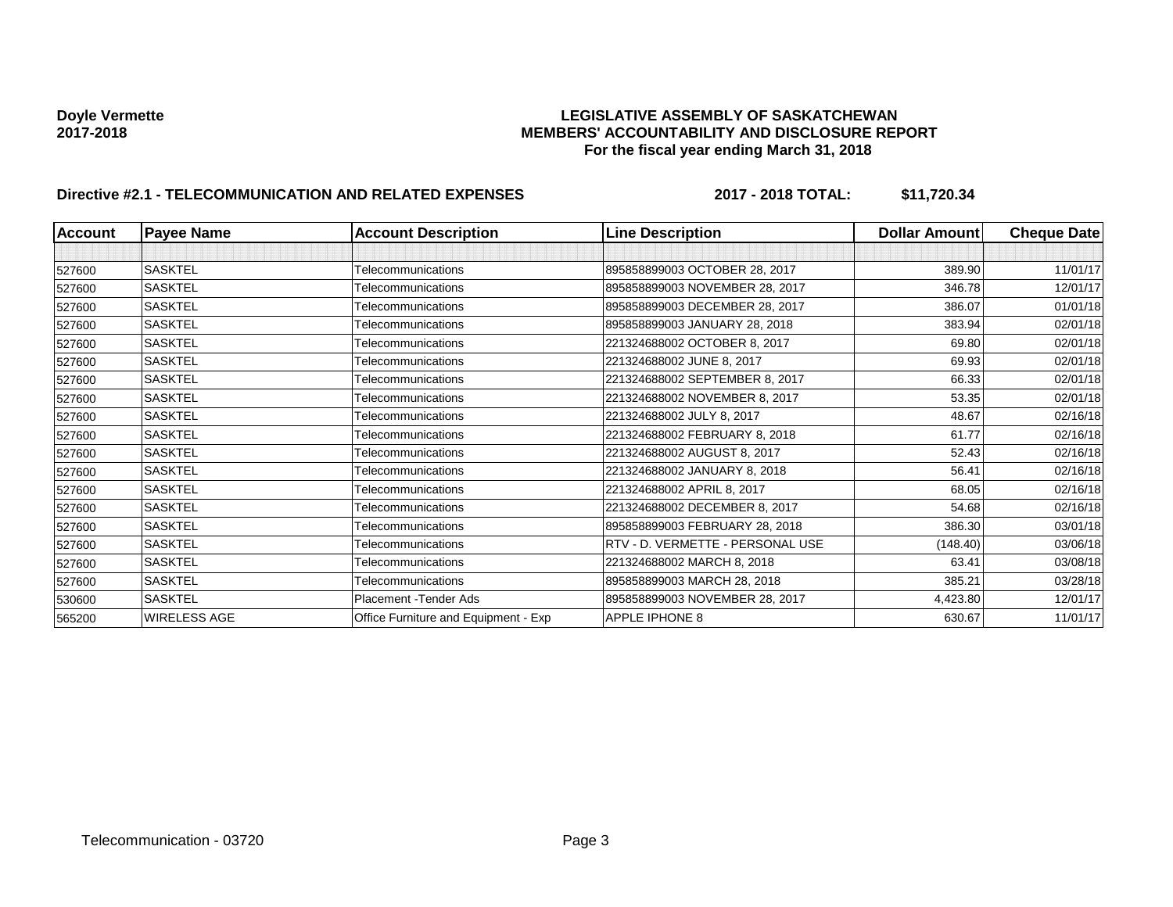# **Doyle Vermette LEGISLATIVE ASSEMBLY OF SASKATCHEWAN 2017-2018 MEMBERS' ACCOUNTABILITY AND DISCLOSURE REPORT For the fiscal year ending March 31, 2018**

# **Directive #2.1 - TELECOMMUNICATION AND RELATED EXPENSES 2017 - 2018 TOTAL: \$11,720.34**

| <b>Account</b> | <b>Payee Name</b> | <b>Account Description</b>           | <b>Line Description</b>          | <b>Dollar Amount</b> | <b>Cheque Date</b> |
|----------------|-------------------|--------------------------------------|----------------------------------|----------------------|--------------------|
|                |                   |                                      |                                  |                      |                    |
| 527600         | <b>SASKTEL</b>    | Telecommunications                   | 895858899003 OCTOBER 28, 2017    | 389.90               | 11/01/17           |
| 527600         | <b>SASKTEL</b>    | Telecommunications                   | 895858899003 NOVEMBER 28, 2017   | 346.78               | 12/01/17           |
| 527600         | <b>SASKTEL</b>    | Telecommunications                   | 895858899003 DECEMBER 28, 2017   | 386.07               | 01/01/18           |
| 527600         | <b>SASKTEL</b>    | Telecommunications                   | 895858899003 JANUARY 28, 2018    | 383.94               | 02/01/18           |
| 527600         | <b>SASKTEL</b>    | Telecommunications                   | 221324688002 OCTOBER 8, 2017     | 69.80                | 02/01/18           |
| 527600         | <b>SASKTEL</b>    | Telecommunications                   | 221324688002 JUNE 8, 2017        | 69.93                | 02/01/18           |
| 527600         | <b>SASKTEL</b>    | Telecommunications                   | 221324688002 SEPTEMBER 8, 2017   | 66.33                | 02/01/18           |
| 527600         | <b>SASKTEL</b>    | Telecommunications                   | 221324688002 NOVEMBER 8, 2017    | 53.35                | 02/01/18           |
| 527600         | <b>SASKTEL</b>    | Telecommunications                   | 221324688002 JULY 8, 2017        | 48.67                | 02/16/18           |
| 527600         | <b>SASKTEL</b>    | Telecommunications                   | 221324688002 FEBRUARY 8, 2018    | 61.77                | 02/16/18           |
| 527600         | <b>SASKTEL</b>    | Telecommunications                   | 221324688002 AUGUST 8, 2017      | 52.43                | 02/16/18           |
| 527600         | <b>SASKTEL</b>    | Telecommunications                   | 221324688002 JANUARY 8, 2018     | 56.41                | 02/16/18           |
| 527600         | <b>SASKTEL</b>    | Telecommunications                   | 221324688002 APRIL 8, 2017       | 68.05                | 02/16/18           |
| 527600         | SASKTEL           | Telecommunications                   | 221324688002 DECEMBER 8, 2017    | 54.68                | 02/16/18           |
| 527600         | <b>SASKTEL</b>    | Telecommunications                   | 895858899003 FEBRUARY 28, 2018   | 386.30               | 03/01/18           |
| 527600         | <b>SASKTEL</b>    | Telecommunications                   | RTV - D. VERMETTE - PERSONAL USE | (148.40)             | 03/06/18           |
| 527600         | <b>SASKTEL</b>    | Telecommunications                   | 221324688002 MARCH 8, 2018       | 63.41                | 03/08/18           |
| 527600         | <b>SASKTEL</b>    | Telecommunications                   | 895858899003 MARCH 28, 2018      | 385.21               | 03/28/18           |
| 530600         | <b>SASKTEL</b>    | Placement - Tender Ads               | 895858899003 NOVEMBER 28, 2017   | 4,423.80             | 12/01/17           |
| 565200         | WIRELESS AGE      | Office Furniture and Equipment - Exp | APPLE IPHONE 8                   | 630.67               | 11/01/17           |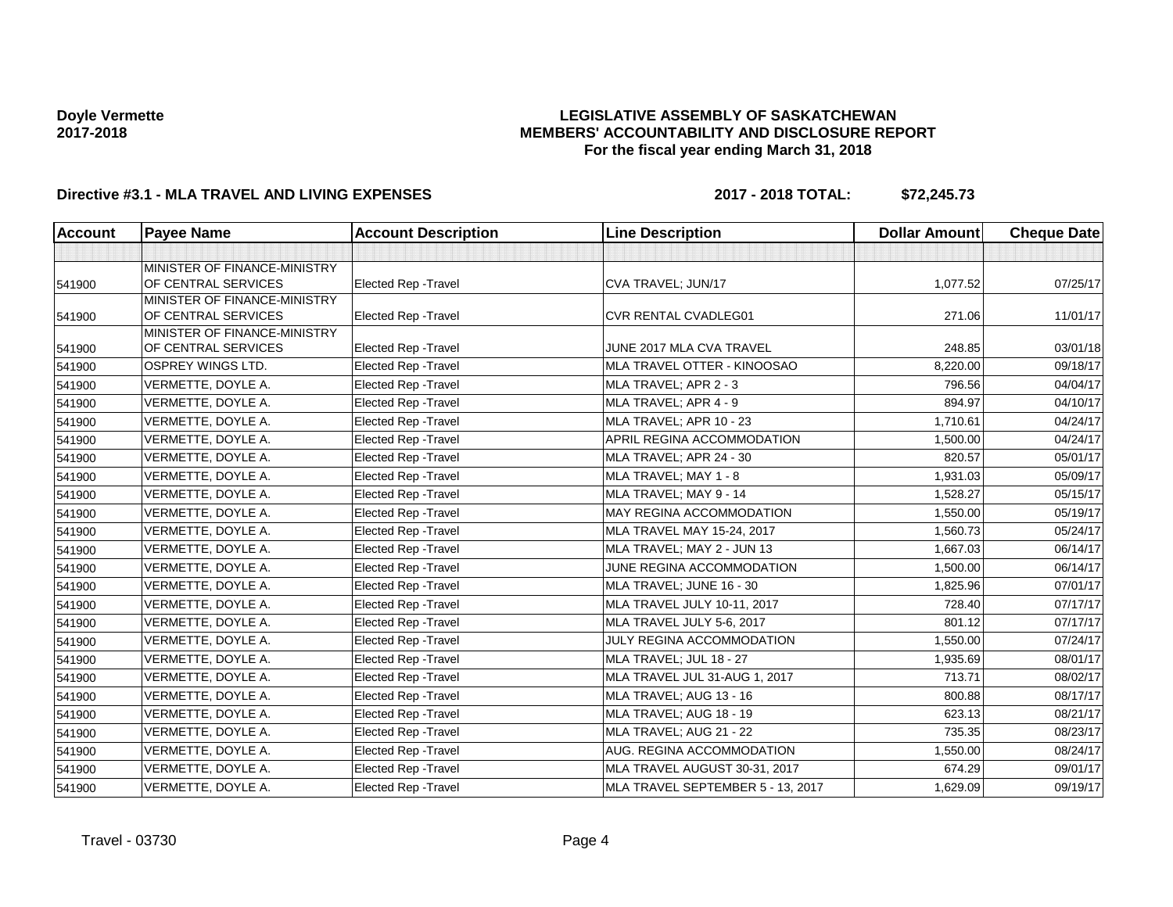### **LEGISLATIVE ASSEMBLY OF SASKATCHEWAN MEMBERS' ACCOUNTABILITY AND DISCLOSURE REPORT For the fiscal year ending March 31, 2018**

# **Directive #3.1 - MLA TRAVEL AND LIVING EXPENSES 2017 - 2018 TOTAL: \$72,245.73**

| <b>Account</b> | <b>Payee Name</b>                                   | <b>Account Description</b>  | <b>Line Description</b>           | <b>Dollar Amount</b> | <b>Cheque Date</b> |
|----------------|-----------------------------------------------------|-----------------------------|-----------------------------------|----------------------|--------------------|
|                |                                                     |                             |                                   |                      |                    |
| 541900         | MINISTER OF FINANCE-MINISTRY<br>OF CENTRAL SERVICES | <b>Elected Rep - Travel</b> | CVA TRAVEL; JUN/17                | 1,077.52             | 07/25/17           |
| 541900         | MINISTER OF FINANCE-MINISTRY<br>OF CENTRAL SERVICES | Elected Rep - Travel        | <b>CVR RENTAL CVADLEG01</b>       | 271.06               | 11/01/17           |
| 541900         | MINISTER OF FINANCE-MINISTRY<br>OF CENTRAL SERVICES | <b>Elected Rep - Travel</b> | JUNE 2017 MLA CVA TRAVEL          | 248.85               | 03/01/18           |
| 541900         | OSPREY WINGS LTD.                                   | Elected Rep - Travel        | MLA TRAVEL OTTER - KINOOSAO       | 8,220.00             | 09/18/17           |
| 541900         | VERMETTE, DOYLE A.                                  | <b>Elected Rep - Travel</b> | MLA TRAVEL; APR 2 - 3             | 796.56               | 04/04/17           |
| 541900         | VERMETTE, DOYLE A.                                  | Elected Rep - Travel        | MLA TRAVEL; APR 4 - 9             | 894.97               | 04/10/17           |
| 541900         | VERMETTE, DOYLE A.                                  | Elected Rep - Travel        | MLA TRAVEL; APR 10 - 23           | 1,710.61             | 04/24/17           |
| 541900         | VERMETTE, DOYLE A.                                  | Elected Rep - Travel        | APRIL REGINA ACCOMMODATION        | 1,500.00             | 04/24/17           |
| 541900         | VERMETTE, DOYLE A.                                  | Elected Rep - Travel        | MLA TRAVEL; APR 24 - 30           | 820.57               | 05/01/17           |
| 541900         | VERMETTE, DOYLE A.                                  | Elected Rep - Travel        | MLA TRAVEL; MAY 1 - 8             | 1,931.03             | 05/09/17           |
| 541900         | VERMETTE, DOYLE A.                                  | Elected Rep - Travel        | MLA TRAVEL; MAY 9 - 14            | 1,528.27             | 05/15/17           |
| 541900         | VERMETTE, DOYLE A.                                  | Elected Rep - Travel        | MAY REGINA ACCOMMODATION          | 1,550.00             | 05/19/17           |
| 541900         | VERMETTE, DOYLE A.                                  | Elected Rep - Travel        | MLA TRAVEL MAY 15-24, 2017        | 1,560.73             | 05/24/17           |
| 541900         | VERMETTE, DOYLE A.                                  | Elected Rep - Travel        | MLA TRAVEL; MAY 2 - JUN 13        | 1,667.03             | 06/14/17           |
| 541900         | VERMETTE, DOYLE A.                                  | Elected Rep - Travel        | JUNE REGINA ACCOMMODATION         | 1,500.00             | 06/14/17           |
| 541900         | VERMETTE, DOYLE A.                                  | Elected Rep - Travel        | MLA TRAVEL; JUNE 16 - 30          | 1,825.96             | 07/01/17           |
| 541900         | VERMETTE, DOYLE A.                                  | <b>Elected Rep - Travel</b> | MLA TRAVEL JULY 10-11, 2017       | 728.40               | 07/17/17           |
| 541900         | VERMETTE, DOYLE A.                                  | Elected Rep - Travel        | MLA TRAVEL JULY 5-6, 2017         | 801.12               | 07/17/17           |
| 541900         | VERMETTE, DOYLE A.                                  | <b>Elected Rep - Travel</b> | JULY REGINA ACCOMMODATION         | 1,550.00             | 07/24/17           |
| 541900         | VERMETTE, DOYLE A.                                  | Elected Rep - Travel        | MLA TRAVEL; JUL 18 - 27           | 1,935.69             | 08/01/17           |
| 541900         | VERMETTE, DOYLE A.                                  | Elected Rep - Travel        | MLA TRAVEL JUL 31-AUG 1, 2017     | 713.71               | 08/02/17           |
| 541900         | VERMETTE, DOYLE A.                                  | Elected Rep - Travel        | MLA TRAVEL; AUG 13 - 16           | 800.88               | 08/17/17           |
| 541900         | VERMETTE, DOYLE A.                                  | <b>Elected Rep - Travel</b> | MLA TRAVEL; AUG 18 - 19           | 623.13               | 08/21/17           |
| 541900         | VERMETTE, DOYLE A.                                  | Elected Rep - Travel        | MLA TRAVEL; AUG 21 - 22           | 735.35               | 08/23/17           |
| 541900         | VERMETTE, DOYLE A.                                  | Elected Rep - Travel        | AUG. REGINA ACCOMMODATION         | 1,550.00             | 08/24/17           |
| 541900         | VERMETTE, DOYLE A.                                  | Elected Rep - Travel        | MLA TRAVEL AUGUST 30-31, 2017     | 674.29               | 09/01/17           |
| 541900         | VERMETTE, DOYLE A.                                  | Elected Rep - Travel        | MLA TRAVEL SEPTEMBER 5 - 13, 2017 | 1,629.09             | 09/19/17           |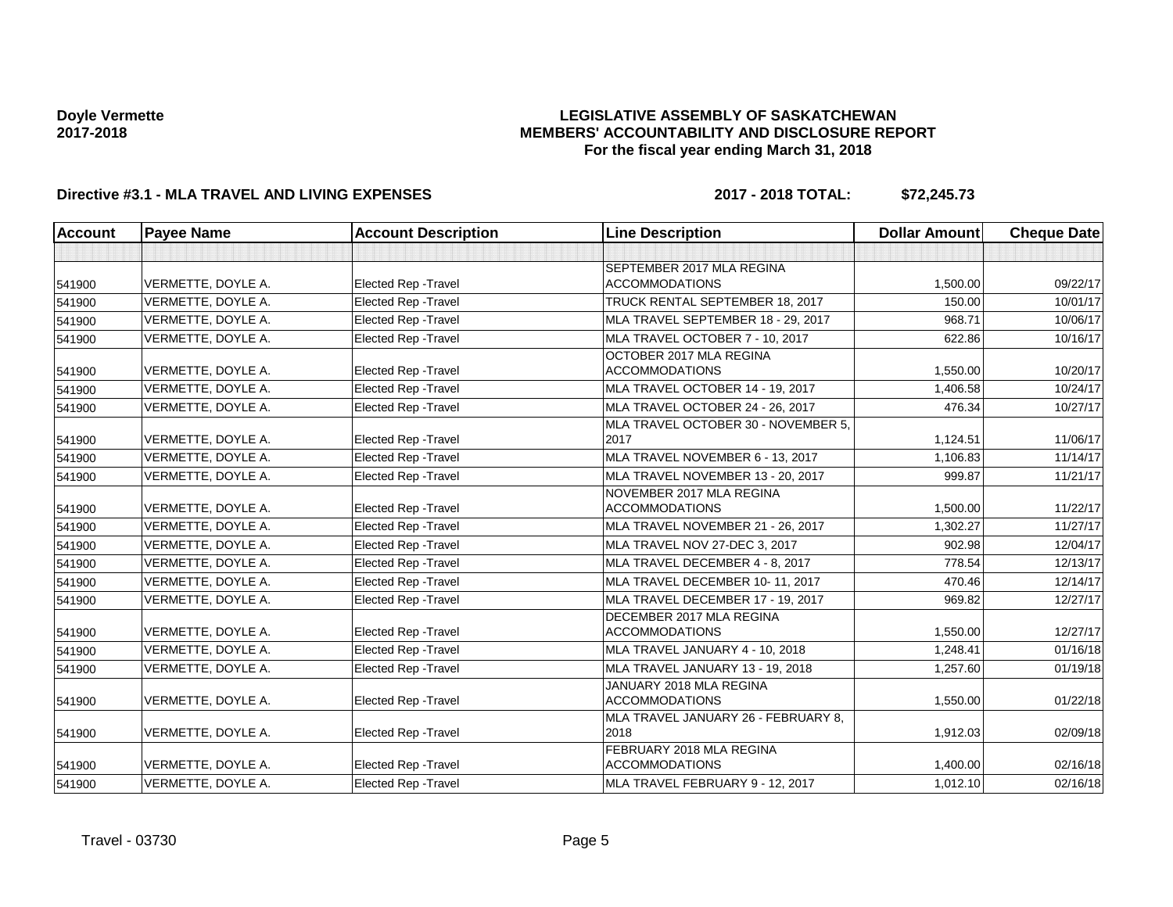### **LEGISLATIVE ASSEMBLY OF SASKATCHEWAN MEMBERS' ACCOUNTABILITY AND DISCLOSURE REPORT For the fiscal year ending March 31, 2018**

# **Directive #3.1 - MLA TRAVEL AND LIVING EXPENSES 2017 - 2018 TOTAL: \$72,245.73**

| <b>Account</b> | <b>Payee Name</b>  | <b>Account Description</b>  | <b>Line Description</b>                            | <b>Dollar Amount</b> | <b>Cheque Date</b> |
|----------------|--------------------|-----------------------------|----------------------------------------------------|----------------------|--------------------|
|                |                    |                             |                                                    |                      |                    |
| 541900         | VERMETTE, DOYLE A. | <b>Elected Rep - Travel</b> | SEPTEMBER 2017 MLA REGINA<br><b>ACCOMMODATIONS</b> | 1,500.00             | 09/22/17           |
| 541900         | VERMETTE, DOYLE A. | <b>Elected Rep - Travel</b> | TRUCK RENTAL SEPTEMBER 18, 2017                    | 150.00               | 10/01/17           |
| 541900         | VERMETTE, DOYLE A. | <b>Elected Rep - Travel</b> | MLA TRAVEL SEPTEMBER 18 - 29, 2017                 | 968.71               | 10/06/17           |
| 541900         | VERMETTE, DOYLE A. | <b>Elected Rep - Travel</b> | MLA TRAVEL OCTOBER 7 - 10, 2017                    | 622.86               | 10/16/17           |
|                |                    |                             | OCTOBER 2017 MLA REGINA                            |                      |                    |
| 541900         | VERMETTE, DOYLE A. | <b>Elected Rep - Travel</b> | <b>ACCOMMODATIONS</b>                              | 1,550.00             | 10/20/17           |
| 541900         | VERMETTE, DOYLE A. | <b>Elected Rep - Travel</b> | MLA TRAVEL OCTOBER 14 - 19, 2017                   | 1,406.58             | 10/24/17           |
| 541900         | VERMETTE, DOYLE A. | <b>Elected Rep - Travel</b> | MLA TRAVEL OCTOBER 24 - 26, 2017                   | 476.34               | 10/27/17           |
| 541900         | VERMETTE, DOYLE A. | <b>Elected Rep - Travel</b> | MLA TRAVEL OCTOBER 30 - NOVEMBER 5,<br>2017        | 1.124.51             | 11/06/17           |
| 541900         | VERMETTE, DOYLE A. | <b>Elected Rep - Travel</b> | MLA TRAVEL NOVEMBER 6 - 13, 2017                   | 1,106.83             | 11/14/17           |
| 541900         | VERMETTE, DOYLE A. | <b>Elected Rep - Travel</b> | MLA TRAVEL NOVEMBER 13 - 20, 2017                  | 999.87               | 11/21/17           |
| 541900         | VERMETTE, DOYLE A. | Elected Rep - Travel        | NOVEMBER 2017 MLA REGINA<br><b>ACCOMMODATIONS</b>  | 1,500.00             | 11/22/17           |
| 541900         | VERMETTE, DOYLE A. | <b>Elected Rep - Travel</b> | MLA TRAVEL NOVEMBER 21 - 26, 2017                  | 1.302.27             | 11/27/17           |
| 541900         | VERMETTE, DOYLE A. | <b>Elected Rep - Travel</b> | MLA TRAVEL NOV 27-DEC 3, 2017                      | 902.98               | 12/04/17           |
| 541900         | VERMETTE, DOYLE A. | <b>Elected Rep - Travel</b> | MLA TRAVEL DECEMBER 4 - 8, 2017                    | 778.54               | 12/13/17           |
| 541900         | VERMETTE, DOYLE A. | <b>Elected Rep - Travel</b> | MLA TRAVEL DECEMBER 10-11, 2017                    | 470.46               | 12/14/17           |
| 541900         | VERMETTE, DOYLE A. | <b>Elected Rep - Travel</b> | MLA TRAVEL DECEMBER 17 - 19, 2017                  | 969.82               | 12/27/17           |
| 541900         | VERMETTE, DOYLE A. | <b>Elected Rep - Travel</b> | DECEMBER 2017 MLA REGINA<br><b>ACCOMMODATIONS</b>  | 1,550.00             | 12/27/17           |
| 541900         | VERMETTE, DOYLE A. | <b>Elected Rep - Travel</b> | MLA TRAVEL JANUARY 4 - 10, 2018                    | 1,248.41             | 01/16/18           |
| 541900         | VERMETTE, DOYLE A. | <b>Elected Rep - Travel</b> | MLA TRAVEL JANUARY 13 - 19, 2018                   | 1,257.60             | 01/19/18           |
| 541900         | VERMETTE, DOYLE A. | <b>Elected Rep - Travel</b> | JANUARY 2018 MLA REGINA<br><b>ACCOMMODATIONS</b>   | 1,550.00             | 01/22/18           |
| 541900         | VERMETTE, DOYLE A. | <b>Elected Rep - Travel</b> | MLA TRAVEL JANUARY 26 - FEBRUARY 8,<br>2018        | 1,912.03             | 02/09/18           |
| 541900         | VERMETTE, DOYLE A. | Elected Rep - Travel        | FEBRUARY 2018 MLA REGINA<br><b>ACCOMMODATIONS</b>  | 1,400.00             | 02/16/18           |
| 541900         | VERMETTE, DOYLE A. | Elected Rep - Travel        | MLA TRAVEL FEBRUARY 9 - 12, 2017                   | 1,012.10             | 02/16/18           |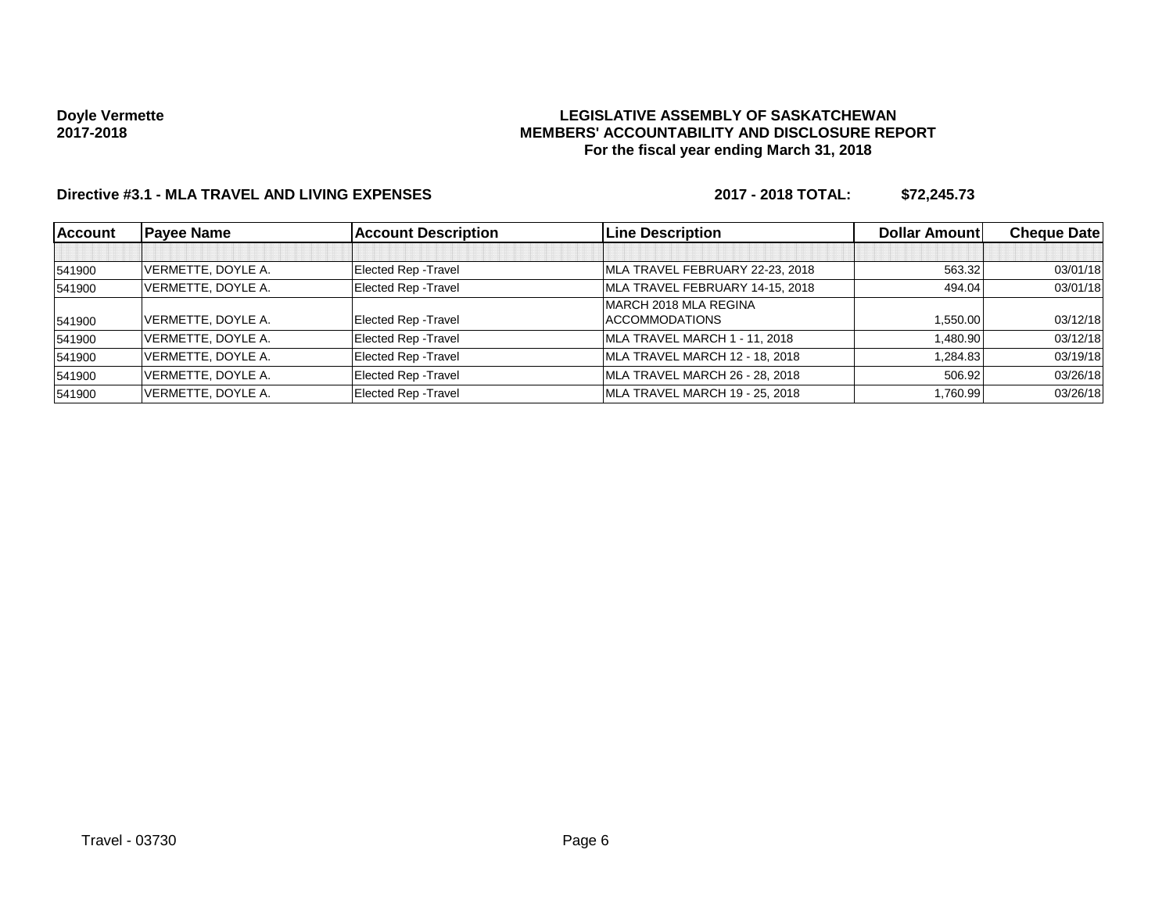### **LEGISLATIVE ASSEMBLY OF SASKATCHEWAN MEMBERS' ACCOUNTABILITY AND DISCLOSURE REPORT For the fiscal year ending March 31, 2018**

# **Directive #3.1 - MLA TRAVEL AND LIVING EXPENSES 2017 - 2018 TOTAL: \$72,245.73**

| <b>Account</b> | <b>Payee Name</b>  | <b>Account Description</b>  | <b>Line Description</b>         | <b>Dollar Amountl</b> | <b>Cheque Date</b> |
|----------------|--------------------|-----------------------------|---------------------------------|-----------------------|--------------------|
|                |                    |                             |                                 |                       |                    |
| 541900         | VERMETTE, DOYLE A. | <b>Elected Rep - Travel</b> | MLA TRAVEL FEBRUARY 22-23, 2018 | 563.32                | 03/01/18           |
| 541900         | VERMETTE, DOYLE A. | <b>Elected Rep - Travel</b> | MLA TRAVEL FEBRUARY 14-15, 2018 | 494.04                | 03/01/18           |
|                |                    |                             | MARCH 2018 MLA REGINA           |                       |                    |
| 541900         | VERMETTE, DOYLE A. | <b>Elected Rep - Travel</b> | <b>ACCOMMODATIONS</b>           | 1,550.00              | 03/12/18           |
| 541900         | VERMETTE, DOYLE A. | <b>Elected Rep - Travel</b> | MLA TRAVEL MARCH 1 - 11, 2018   | 1,480.90              | 03/12/18           |
| 541900         | VERMETTE, DOYLE A. | <b>Elected Rep - Travel</b> | MLA TRAVEL MARCH 12 - 18, 2018  | 1,284.83              | 03/19/18           |
| 541900         | VERMETTE, DOYLE A. | <b>Elected Rep - Travel</b> | MLA TRAVEL MARCH 26 - 28, 2018  | 506.92                | 03/26/18           |
| 541900         | VERMETTE, DOYLE A. | <b>Elected Rep - Travel</b> | MLA TRAVEL MARCH 19 - 25, 2018  | 1.760.99              | 03/26/18           |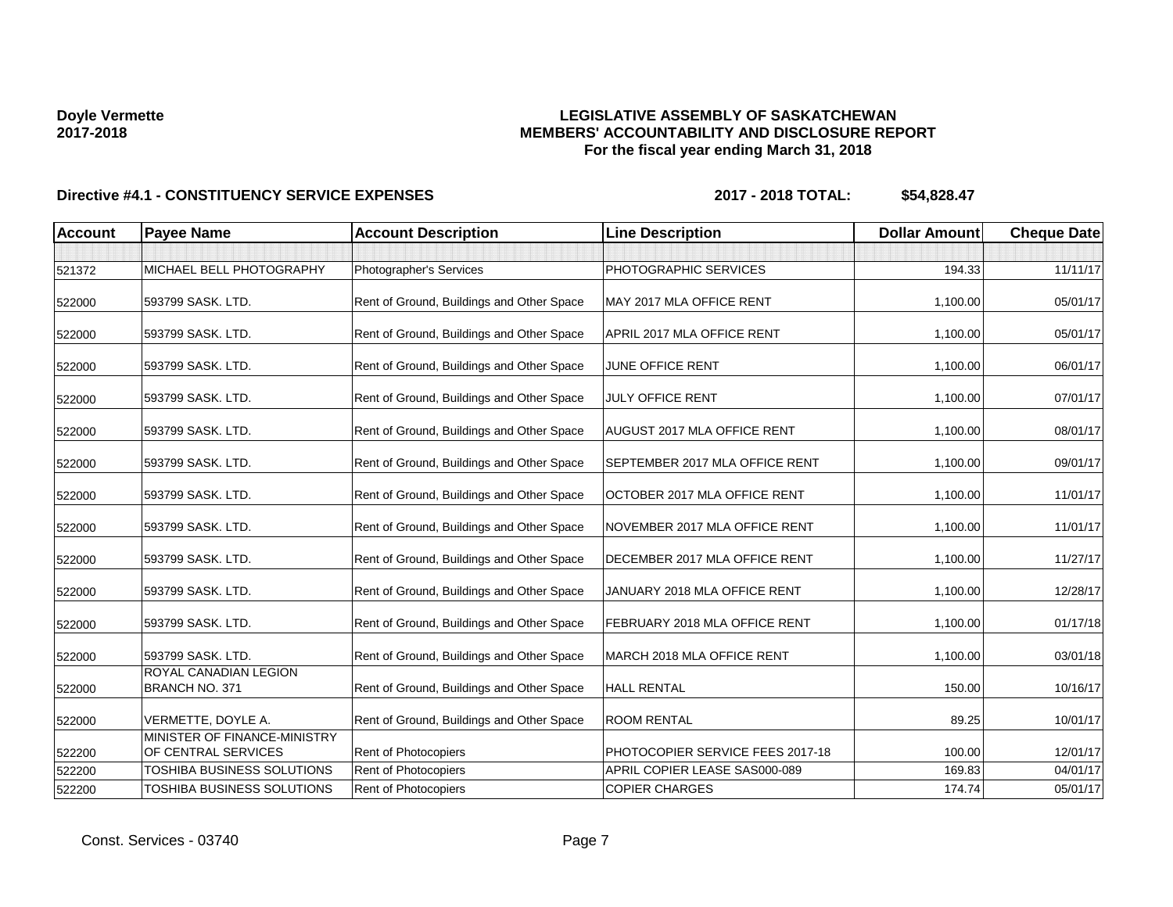# **LEGISLATIVE ASSEMBLY OF SASKATCHEWAN MEMBERS' ACCOUNTABILITY AND DISCLOSURE REPORT For the fiscal year ending March 31, 2018**

| <b>Account</b> | <b>Payee Name</b>                                   | <b>Account Description</b>                | <b>Line Description</b>          | <b>Dollar Amount</b> | <b>Cheque Date</b> |
|----------------|-----------------------------------------------------|-------------------------------------------|----------------------------------|----------------------|--------------------|
| 521372         | MICHAEL BELL PHOTOGRAPHY                            | Photographer's Services                   | PHOTOGRAPHIC SERVICES            | 194.33               | 11/11/17           |
| 522000         | 593799 SASK. LTD.                                   | Rent of Ground, Buildings and Other Space | MAY 2017 MLA OFFICE RENT         | 1,100.00             | 05/01/17           |
| 522000         | 593799 SASK. LTD.                                   | Rent of Ground, Buildings and Other Space | APRIL 2017 MLA OFFICE RENT       | 1,100.00             | 05/01/17           |
| 522000         | 593799 SASK, LTD.                                   | Rent of Ground, Buildings and Other Space | JUNE OFFICE RENT                 | 1,100.00             | 06/01/17           |
| 522000         | 593799 SASK. LTD.                                   | Rent of Ground, Buildings and Other Space | <b>JULY OFFICE RENT</b>          | 1,100.00             | 07/01/17           |
| 522000         | 593799 SASK. LTD.                                   | Rent of Ground, Buildings and Other Space | AUGUST 2017 MLA OFFICE RENT      | 1,100.00             | 08/01/17           |
| 522000         | 593799 SASK. LTD.                                   | Rent of Ground, Buildings and Other Space | SEPTEMBER 2017 MLA OFFICE RENT   | 1,100.00             | 09/01/17           |
| 522000         | 593799 SASK. LTD.                                   | Rent of Ground, Buildings and Other Space | OCTOBER 2017 MLA OFFICE RENT     | 1,100.00             | 11/01/17           |
| 522000         | 593799 SASK, LTD.                                   | Rent of Ground, Buildings and Other Space | NOVEMBER 2017 MLA OFFICE RENT    | 1,100.00             | 11/01/17           |
| 522000         | 593799 SASK, LTD.                                   | Rent of Ground, Buildings and Other Space | DECEMBER 2017 MLA OFFICE RENT    | 1,100.00             | 11/27/17           |
| 522000         | 593799 SASK. LTD.                                   | Rent of Ground, Buildings and Other Space | JANUARY 2018 MLA OFFICE RENT     | 1,100.00             | 12/28/17           |
| 522000         | 593799 SASK. LTD.                                   | Rent of Ground, Buildings and Other Space | FEBRUARY 2018 MLA OFFICE RENT    | 1,100.00             | 01/17/18           |
| 522000         | 593799 SASK. LTD.                                   | Rent of Ground, Buildings and Other Space | MARCH 2018 MLA OFFICE RENT       | 1,100.00             | 03/01/18           |
| 522000         | ROYAL CANADIAN LEGION<br><b>BRANCH NO. 371</b>      | Rent of Ground, Buildings and Other Space | <b>HALL RENTAL</b>               | 150.00               | 10/16/17           |
| 522000         | VERMETTE, DOYLE A.                                  | Rent of Ground, Buildings and Other Space | <b>ROOM RENTAL</b>               | 89.25                | 10/01/17           |
| 522200         | MINISTER OF FINANCE-MINISTRY<br>OF CENTRAL SERVICES | Rent of Photocopiers                      | PHOTOCOPIER SERVICE FEES 2017-18 | 100.00               | 12/01/17           |
| 522200         | <b>TOSHIBA BUSINESS SOLUTIONS</b>                   | Rent of Photocopiers                      | APRIL COPIER LEASE SAS000-089    | 169.83               | 04/01/17           |
| 522200         | TOSHIBA BUSINESS SOLUTIONS                          | Rent of Photocopiers                      | <b>COPIER CHARGES</b>            | 174.74               | 05/01/17           |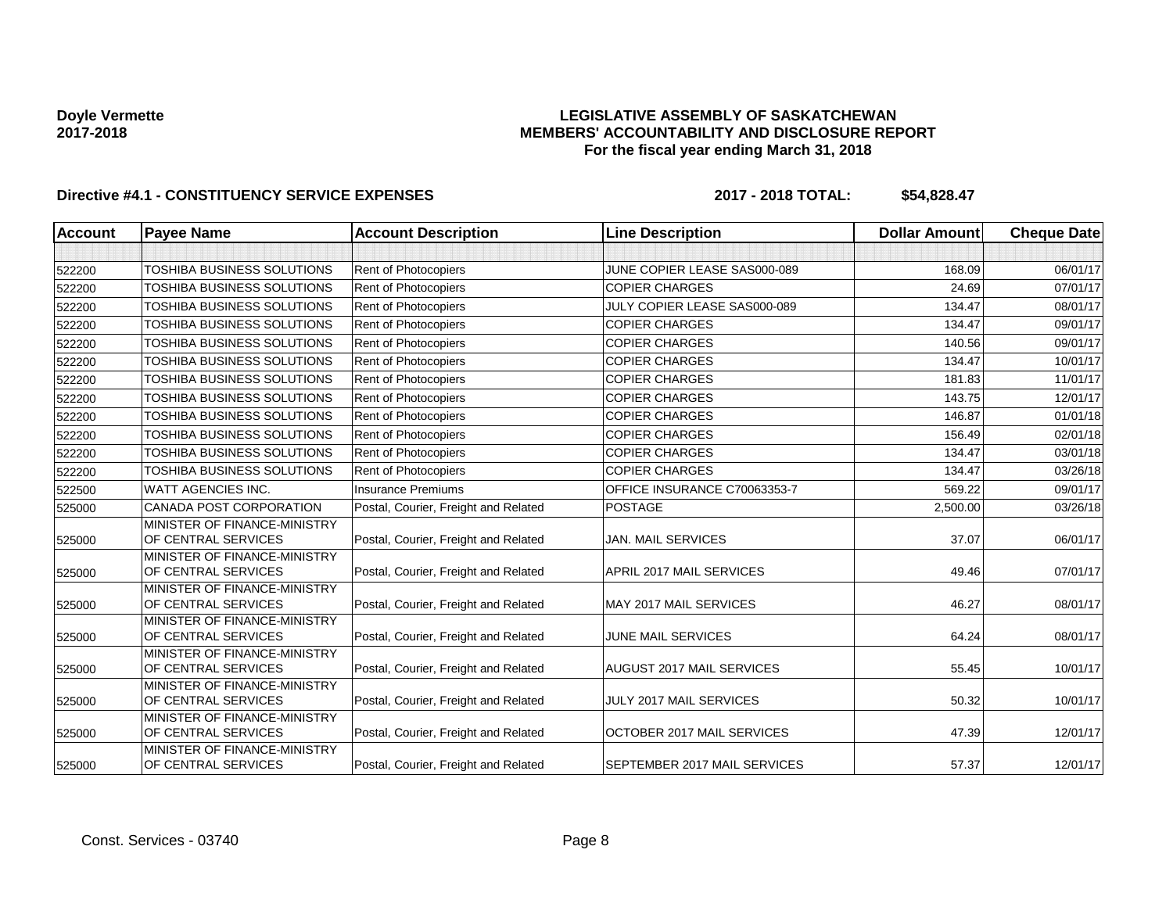### **LEGISLATIVE ASSEMBLY OF SASKATCHEWAN MEMBERS' ACCOUNTABILITY AND DISCLOSURE REPORT For the fiscal year ending March 31, 2018**

| <b>Account</b> | <b>Payee Name</b>                                   | <b>Account Description</b>           | <b>Line Description</b>          | <b>Dollar Amount</b> | <b>Cheque Date</b> |
|----------------|-----------------------------------------------------|--------------------------------------|----------------------------------|----------------------|--------------------|
|                |                                                     |                                      |                                  |                      |                    |
| 522200         | TOSHIBA BUSINESS SOLUTIONS                          | Rent of Photocopiers                 | JUNE COPIER LEASE SAS000-089     | 168.09               | 06/01/17           |
| 522200         | TOSHIBA BUSINESS SOLUTIONS                          | Rent of Photocopiers                 | <b>COPIER CHARGES</b>            | 24.69                | 07/01/17           |
| 522200         | TOSHIBA BUSINESS SOLUTIONS                          | Rent of Photocopiers                 | JULY COPIER LEASE SAS000-089     | 134.47               | 08/01/17           |
| 522200         | TOSHIBA BUSINESS SOLUTIONS                          | Rent of Photocopiers                 | <b>COPIER CHARGES</b>            | 134.47               | 09/01/17           |
| 522200         | TOSHIBA BUSINESS SOLUTIONS                          | Rent of Photocopiers                 | <b>COPIER CHARGES</b>            | 140.56               | 09/01/17           |
| 522200         | TOSHIBA BUSINESS SOLUTIONS                          | Rent of Photocopiers                 | <b>COPIER CHARGES</b>            | 134.47               | 10/01/17           |
| 522200         | TOSHIBA BUSINESS SOLUTIONS                          | Rent of Photocopiers                 | <b>COPIER CHARGES</b>            | 181.83               | 11/01/17           |
| 522200         | TOSHIBA BUSINESS SOLUTIONS                          | Rent of Photocopiers                 | <b>COPIER CHARGES</b>            | 143.75               | 12/01/17           |
| 522200         | TOSHIBA BUSINESS SOLUTIONS                          | Rent of Photocopiers                 | <b>COPIER CHARGES</b>            | 146.87               | 01/01/18           |
| 522200         | TOSHIBA BUSINESS SOLUTIONS                          | Rent of Photocopiers                 | <b>COPIER CHARGES</b>            | 156.49               | 02/01/18           |
| 522200         | <b>TOSHIBA BUSINESS SOLUTIONS</b>                   | Rent of Photocopiers                 | <b>COPIER CHARGES</b>            | 134.47               | 03/01/18           |
| 522200         | TOSHIBA BUSINESS SOLUTIONS                          | Rent of Photocopiers                 | <b>COPIER CHARGES</b>            | 134.47               | 03/26/18           |
| 522500         | <b>WATT AGENCIES INC.</b>                           | <b>Insurance Premiums</b>            | OFFICE INSURANCE C70063353-7     | 569.22               | 09/01/17           |
| 525000         | <b>CANADA POST CORPORATION</b>                      | Postal, Courier, Freight and Related | <b>POSTAGE</b>                   | 2,500.00             | 03/26/18           |
| 525000         | MINISTER OF FINANCE-MINISTRY<br>OF CENTRAL SERVICES | Postal, Courier, Freight and Related | <b>JAN. MAIL SERVICES</b>        | 37.07                | 06/01/17           |
| 525000         | MINISTER OF FINANCE-MINISTRY<br>OF CENTRAL SERVICES | Postal, Courier, Freight and Related | APRIL 2017 MAIL SERVICES         | 49.46                | 07/01/17           |
| 525000         | MINISTER OF FINANCE-MINISTRY<br>OF CENTRAL SERVICES | Postal, Courier, Freight and Related | MAY 2017 MAIL SERVICES           | 46.27                | 08/01/17           |
| 525000         | MINISTER OF FINANCE-MINISTRY<br>OF CENTRAL SERVICES | Postal, Courier, Freight and Related | <b>JUNE MAIL SERVICES</b>        | 64.24                | 08/01/17           |
| 525000         | MINISTER OF FINANCE-MINISTRY<br>OF CENTRAL SERVICES | Postal, Courier, Freight and Related | <b>AUGUST 2017 MAIL SERVICES</b> | 55.45                | 10/01/17           |
| 525000         | MINISTER OF FINANCE-MINISTRY<br>OF CENTRAL SERVICES | Postal, Courier, Freight and Related | JULY 2017 MAIL SERVICES          | 50.32                | 10/01/17           |
| 525000         | MINISTER OF FINANCE-MINISTRY<br>OF CENTRAL SERVICES | Postal, Courier, Freight and Related | OCTOBER 2017 MAIL SERVICES       | 47.39                | 12/01/17           |
| 525000         | MINISTER OF FINANCE-MINISTRY<br>OF CENTRAL SERVICES | Postal, Courier, Freight and Related | SEPTEMBER 2017 MAIL SERVICES     | 57.37                | 12/01/17           |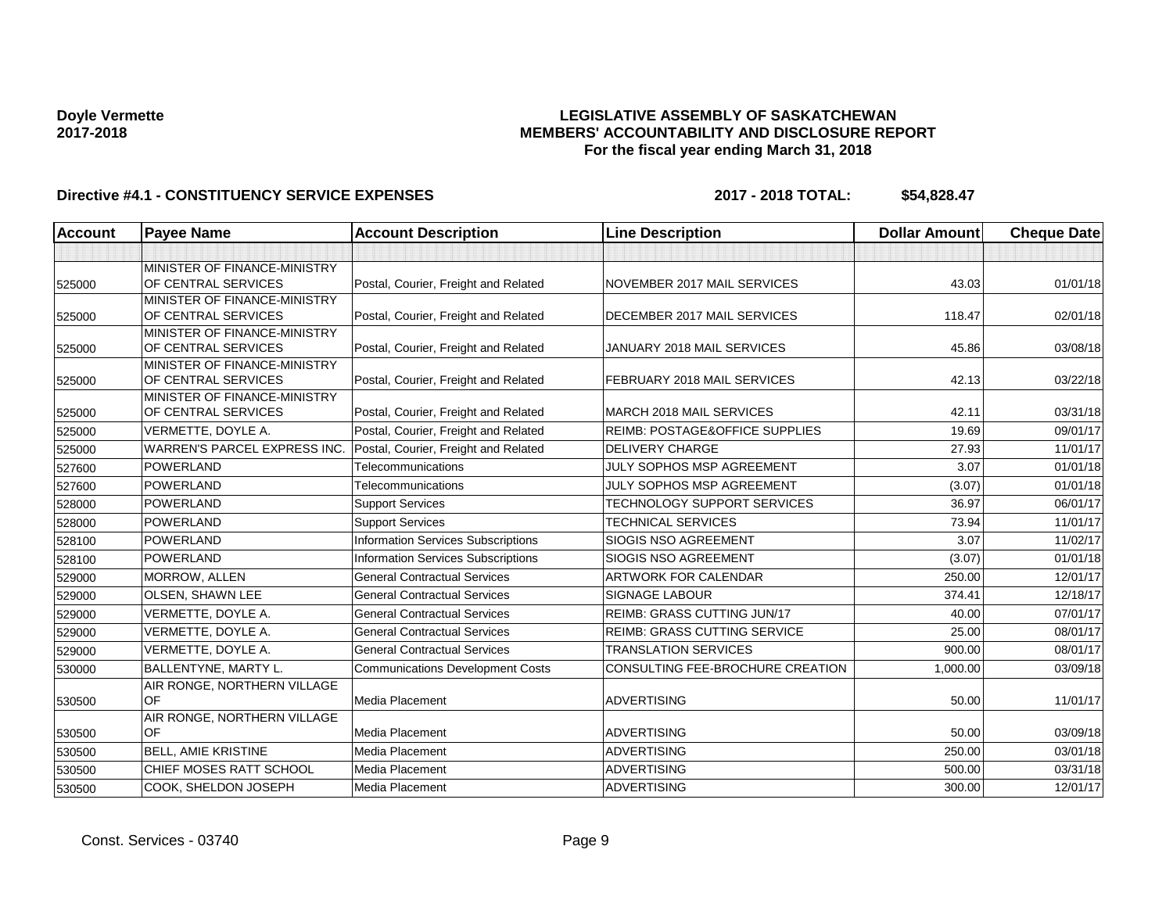### **LEGISLATIVE ASSEMBLY OF SASKATCHEWAN MEMBERS' ACCOUNTABILITY AND DISCLOSURE REPORT For the fiscal year ending March 31, 2018**

| <b>Account</b> | <b>Payee Name</b>                                   | <b>Account Description</b>                | <b>Line Description</b>                   | <b>Dollar Amount</b> | <b>Cheque Date</b> |
|----------------|-----------------------------------------------------|-------------------------------------------|-------------------------------------------|----------------------|--------------------|
|                |                                                     |                                           |                                           |                      |                    |
|                | MINISTER OF FINANCE-MINISTRY                        |                                           |                                           |                      |                    |
| 525000         | OF CENTRAL SERVICES                                 | Postal, Courier, Freight and Related      | NOVEMBER 2017 MAIL SERVICES               | 43.03                | 01/01/18           |
|                | MINISTER OF FINANCE-MINISTRY                        |                                           |                                           |                      |                    |
| 525000         | OF CENTRAL SERVICES                                 | Postal, Courier, Freight and Related      | DECEMBER 2017 MAIL SERVICES               | 118.47               | 02/01/18           |
| 525000         | MINISTER OF FINANCE-MINISTRY<br>OF CENTRAL SERVICES | Postal, Courier, Freight and Related      | JANUARY 2018 MAIL SERVICES                | 45.86                | 03/08/18           |
|                | MINISTER OF FINANCE-MINISTRY                        |                                           |                                           |                      |                    |
| 525000         | OF CENTRAL SERVICES                                 | Postal, Courier, Freight and Related      | FEBRUARY 2018 MAIL SERVICES               | 42.13                | 03/22/18           |
|                | MINISTER OF FINANCE-MINISTRY                        |                                           |                                           |                      |                    |
| 525000         | OF CENTRAL SERVICES                                 | Postal, Courier, Freight and Related      | MARCH 2018 MAIL SERVICES                  | 42.11                | 03/31/18           |
| 525000         | VERMETTE, DOYLE A.                                  | Postal, Courier, Freight and Related      | <b>REIMB: POSTAGE&amp;OFFICE SUPPLIES</b> | 19.69                | 09/01/17           |
| 525000         | WARREN'S PARCEL EXPRESS INC.                        | Postal, Courier, Freight and Related      | <b>DELIVERY CHARGE</b>                    | 27.93                | 11/01/17           |
| 527600         | <b>POWERLAND</b>                                    | Telecommunications                        | JULY SOPHOS MSP AGREEMENT                 | 3.07                 | 01/01/18           |
| 527600         | <b>POWERLAND</b>                                    | Telecommunications                        | JULY SOPHOS MSP AGREEMENT                 | (3.07)               | 01/01/18           |
| 528000         | POWERLAND                                           | <b>Support Services</b>                   | <b>TECHNOLOGY SUPPORT SERVICES</b>        | 36.97                | 06/01/17           |
| 528000         | <b>POWERLAND</b>                                    | <b>Support Services</b>                   | <b>TECHNICAL SERVICES</b>                 | 73.94                | 11/01/17           |
| 528100         | <b>POWERLAND</b>                                    | <b>Information Services Subscriptions</b> | <b>SIOGIS NSO AGREEMENT</b>               | 3.07                 | 11/02/17           |
| 528100         | <b>POWERLAND</b>                                    | <b>Information Services Subscriptions</b> | SIOGIS NSO AGREEMENT                      | (3.07)               | 01/01/18           |
| 529000         | MORROW, ALLEN                                       | <b>General Contractual Services</b>       | <b>ARTWORK FOR CALENDAR</b>               | 250.00               | 12/01/17           |
| 529000         | OLSEN, SHAWN LEE                                    | <b>General Contractual Services</b>       | <b>SIGNAGE LABOUR</b>                     | 374.41               | 12/18/17           |
| 529000         | VERMETTE, DOYLE A.                                  | <b>General Contractual Services</b>       | <b>REIMB: GRASS CUTTING JUN/17</b>        | 40.00                | 07/01/17           |
| 529000         | VERMETTE, DOYLE A.                                  | <b>General Contractual Services</b>       | <b>REIMB: GRASS CUTTING SERVICE</b>       | 25.00                | 08/01/17           |
| 529000         | VERMETTE, DOYLE A.                                  | <b>General Contractual Services</b>       | <b>TRANSLATION SERVICES</b>               | 900.00               | 08/01/17           |
| 530000         | BALLENTYNE, MARTY L.                                | <b>Communications Development Costs</b>   | CONSULTING FEE-BROCHURE CREATION          | 1,000.00             | 03/09/18           |
|                | AIR RONGE, NORTHERN VILLAGE                         |                                           |                                           |                      |                    |
| 530500         | OF                                                  | Media Placement                           | <b>ADVERTISING</b>                        | 50.00                | 11/01/17           |
|                | AIR RONGE, NORTHERN VILLAGE                         |                                           |                                           |                      |                    |
| 530500         | OF                                                  | Media Placement                           | <b>ADVERTISING</b>                        | 50.00                | 03/09/18           |
| 530500         | <b>BELL, AMIE KRISTINE</b>                          | Media Placement                           | <b>ADVERTISING</b>                        | 250.00               | 03/01/18           |
| 530500         | CHIEF MOSES RATT SCHOOL                             | Media Placement                           | <b>ADVERTISING</b>                        | 500.00               | 03/31/18           |
| 530500         | COOK, SHELDON JOSEPH                                | Media Placement                           | <b>ADVERTISING</b>                        | 300.00               | 12/01/17           |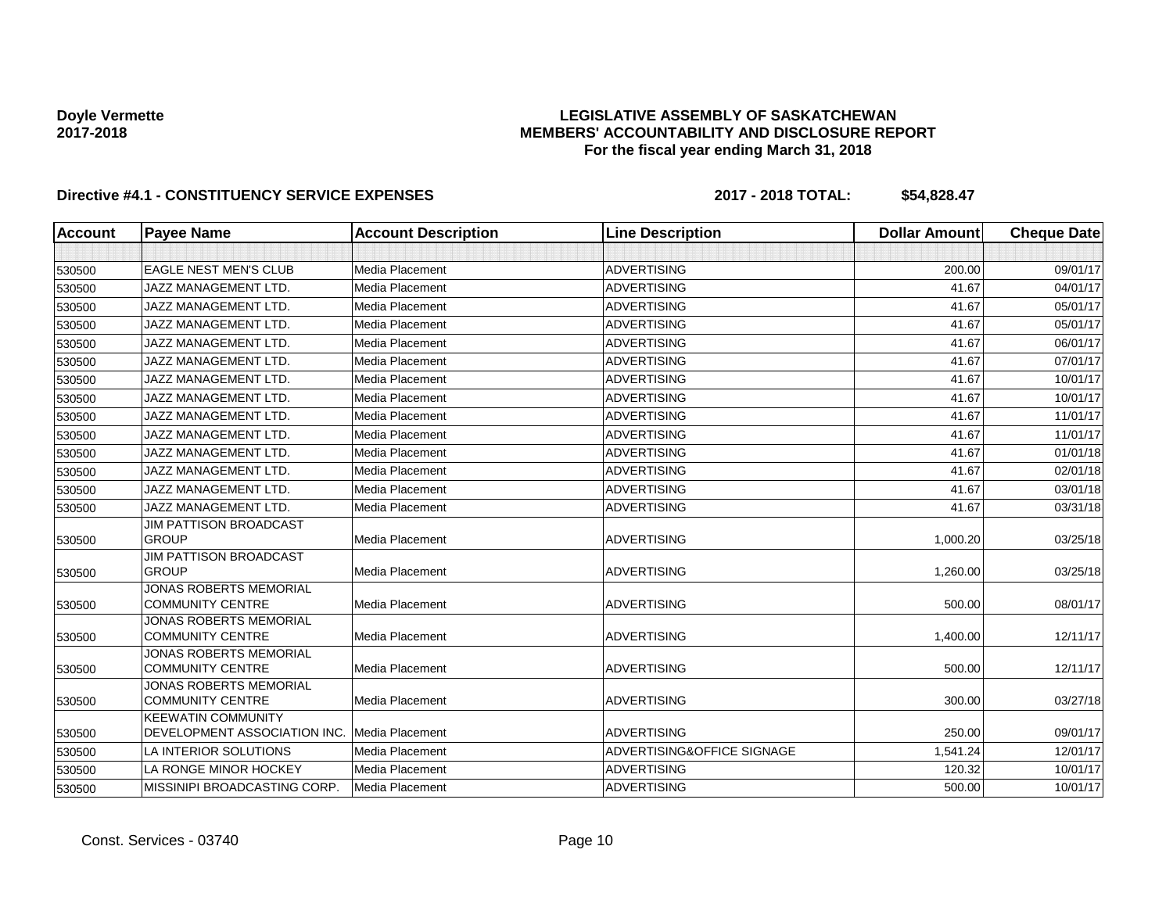### **LEGISLATIVE ASSEMBLY OF SASKATCHEWAN MEMBERS' ACCOUNTABILITY AND DISCLOSURE REPORT For the fiscal year ending March 31, 2018**

| Account | <b>Payee Name</b>                                         | <b>Account Description</b> | <b>Line Description</b>    | <b>Dollar Amount</b> | <b>Cheque Date</b> |
|---------|-----------------------------------------------------------|----------------------------|----------------------------|----------------------|--------------------|
|         |                                                           |                            |                            |                      |                    |
| 530500  | <b>EAGLE NEST MEN'S CLUB</b>                              | Media Placement            | <b>ADVERTISING</b>         | 200.00               | 09/01/17           |
| 530500  | <b>JAZZ MANAGEMENT LTD.</b>                               | Media Placement            | <b>ADVERTISING</b>         | 41.67                | 04/01/17           |
| 530500  | <b>JAZZ MANAGEMENT LTD.</b>                               | <b>Media Placement</b>     | <b>ADVERTISING</b>         | 41.67                | 05/01/17           |
| 530500  | <b>JAZZ MANAGEMENT LTD.</b>                               | Media Placement            | <b>ADVERTISING</b>         | 41.67                | 05/01/17           |
| 530500  | <b>JAZZ MANAGEMENT LTD.</b>                               | <b>Media Placement</b>     | <b>ADVERTISING</b>         | 41.67                | 06/01/17           |
| 530500  | <b>JAZZ MANAGEMENT LTD.</b>                               | <b>Media Placement</b>     | <b>ADVERTISING</b>         | 41.67                | 07/01/17           |
| 530500  | <b>JAZZ MANAGEMENT LTD.</b>                               | Media Placement            | <b>ADVERTISING</b>         | 41.67                | 10/01/17           |
| 530500  | <b>JAZZ MANAGEMENT LTD.</b>                               | <b>Media Placement</b>     | <b>ADVERTISING</b>         | 41.67                | 10/01/17           |
| 530500  | <b>JAZZ MANAGEMENT LTD.</b>                               | <b>Media Placement</b>     | <b>ADVERTISING</b>         | 41.67                | 11/01/17           |
| 530500  | JAZZ MANAGEMENT LTD.                                      | Media Placement            | <b>ADVERTISING</b>         | 41.67                | 11/01/17           |
| 530500  | JAZZ MANAGEMENT LTD.                                      | <b>Media Placement</b>     | <b>ADVERTISING</b>         | 41.67                | 01/01/18           |
| 530500  | <b>JAZZ MANAGEMENT LTD.</b>                               | <b>Media Placement</b>     | <b>ADVERTISING</b>         | 41.67                | 02/01/18           |
| 530500  | <b>JAZZ MANAGEMENT LTD.</b>                               | Media Placement            | <b>ADVERTISING</b>         | 41.67                | 03/01/18           |
| 530500  | <b>JAZZ MANAGEMENT LTD.</b>                               | Media Placement            | <b>ADVERTISING</b>         | 41.67                | 03/31/18           |
| 530500  | <b>JIM PATTISON BROADCAST</b><br><b>GROUP</b>             | Media Placement            | <b>ADVERTISING</b>         | 1,000.20             | 03/25/18           |
|         | <b>JIM PATTISON BROADCAST</b>                             |                            |                            |                      |                    |
| 530500  | <b>GROUP</b>                                              | Media Placement            | <b>ADVERTISING</b>         | 1,260.00             | 03/25/18           |
| 530500  | JONAS ROBERTS MEMORIAL<br><b>COMMUNITY CENTRE</b>         | Media Placement            | <b>ADVERTISING</b>         | 500.00               | 08/01/17           |
| 530500  | <b>JONAS ROBERTS MEMORIAL</b><br><b>COMMUNITY CENTRE</b>  | Media Placement            | <b>ADVERTISING</b>         | 1,400.00             | 12/11/17           |
| 530500  | <b>JONAS ROBERTS MEMORIAL</b><br><b>COMMUNITY CENTRE</b>  | Media Placement            | <b>ADVERTISING</b>         | 500.00               | 12/11/17           |
| 530500  | <b>JONAS ROBERTS MEMORIAL</b><br><b>COMMUNITY CENTRE</b>  | Media Placement            | <b>ADVERTISING</b>         | 300.00               | 03/27/18           |
| 530500  | <b>KEEWATIN COMMUNITY</b><br>DEVELOPMENT ASSOCIATION INC. | Media Placement            | <b>ADVERTISING</b>         | 250.00               | 09/01/17           |
| 530500  | LA INTERIOR SOLUTIONS                                     | Media Placement            | ADVERTISING&OFFICE SIGNAGE | 1,541.24             | 12/01/17           |
| 530500  | LA RONGE MINOR HOCKEY                                     | Media Placement            | <b>ADVERTISING</b>         | 120.32               | 10/01/17           |
| 530500  | MISSINIPI BROADCASTING CORP.                              | Media Placement            | <b>ADVERTISING</b>         | 500.00               | 10/01/17           |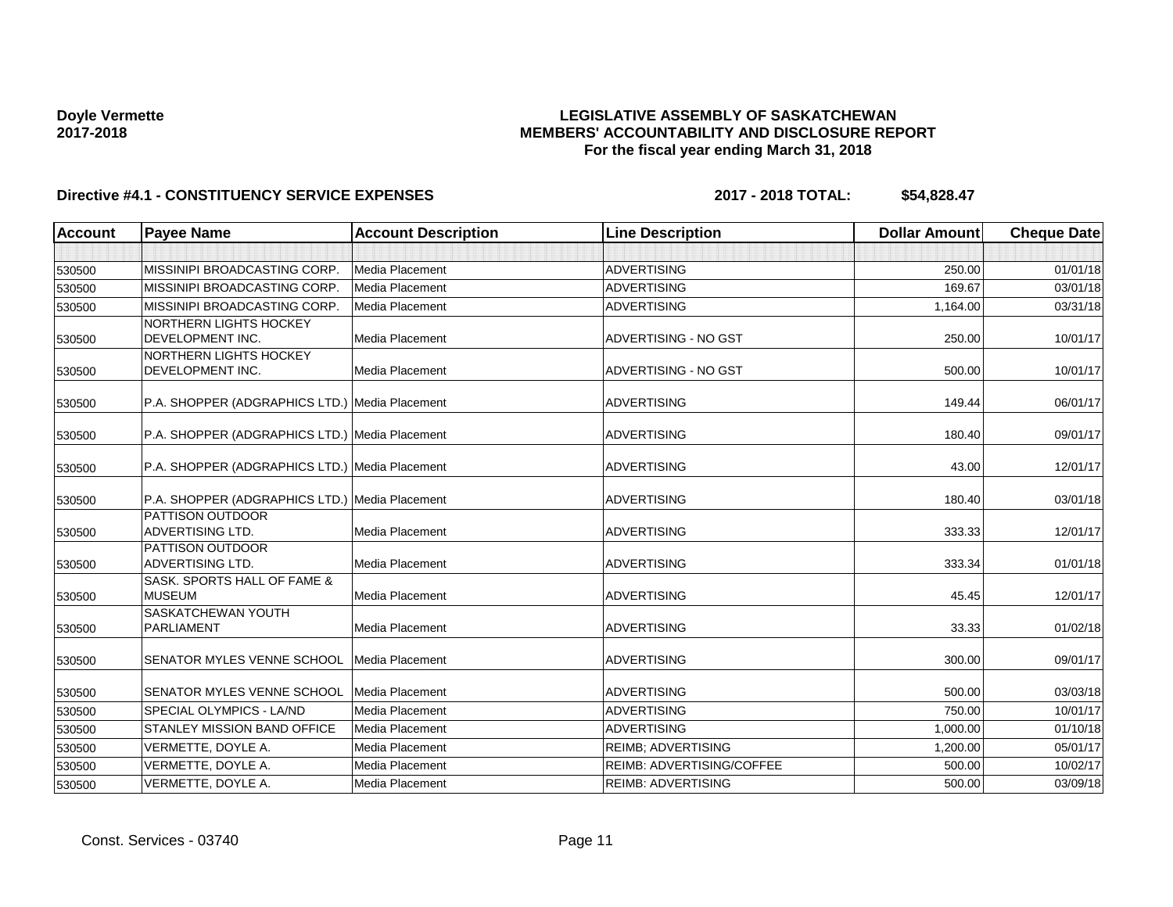### **LEGISLATIVE ASSEMBLY OF SASKATCHEWAN MEMBERS' ACCOUNTABILITY AND DISCLOSURE REPORT For the fiscal year ending March 31, 2018**

| <b>Account</b> | <b>Payee Name</b>                                        | <b>Account Description</b> | <b>Line Description</b>          | <b>Dollar Amount</b> | <b>Cheque Date</b> |
|----------------|----------------------------------------------------------|----------------------------|----------------------------------|----------------------|--------------------|
|                |                                                          |                            |                                  |                      |                    |
| 530500         | MISSINIPI BROADCASTING CORP.                             | Media Placement            | <b>ADVERTISING</b>               | 250.00               | 01/01/18           |
| 530500         | <b>MISSINIPI BROADCASTING CORP.</b>                      | Media Placement            | <b>ADVERTISING</b>               | 169.67               | 03/01/18           |
| 530500         | MISSINIPI BROADCASTING CORP.                             | Media Placement            | <b>ADVERTISING</b>               | 1.164.00             | 03/31/18           |
| 530500         | <b>NORTHERN LIGHTS HOCKEY</b><br>DEVELOPMENT INC.        | Media Placement            | ADVERTISING - NO GST             | 250.00               | 10/01/17           |
| 530500         | <b>NORTHERN LIGHTS HOCKEY</b><br><b>DEVELOPMENT INC.</b> | Media Placement            | ADVERTISING - NO GST             | 500.00               | 10/01/17           |
| 530500         | P.A. SHOPPER (ADGRAPHICS LTD.) Media Placement           |                            | <b>ADVERTISING</b>               | 149.44               | 06/01/17           |
| 530500         | P.A. SHOPPER (ADGRAPHICS LTD.) Media Placement           |                            | <b>ADVERTISING</b>               | 180.40               | 09/01/17           |
| 530500         | P.A. SHOPPER (ADGRAPHICS LTD.) Media Placement           |                            | <b>ADVERTISING</b>               | 43.00                | 12/01/17           |
| 530500         | P.A. SHOPPER (ADGRAPHICS LTD.) Media Placement           |                            | <b>ADVERTISING</b>               | 180.40               | 03/01/18           |
| 530500         | <b>PATTISON OUTDOOR</b><br><b>ADVERTISING LTD.</b>       | <b>Media Placement</b>     | <b>ADVERTISING</b>               | 333.33               | 12/01/17           |
| 530500         | <b>PATTISON OUTDOOR</b><br><b>ADVERTISING LTD.</b>       | <b>Media Placement</b>     | <b>ADVERTISING</b>               | 333.34               | 01/01/18           |
| 530500         | SASK, SPORTS HALL OF FAME &<br><b>MUSEUM</b>             | Media Placement            | <b>ADVERTISING</b>               | 45.45                | 12/01/17           |
| 530500         | <b>SASKATCHEWAN YOUTH</b><br>PARLIAMENT                  | Media Placement            | <b>ADVERTISING</b>               | 33.33                | 01/02/18           |
| 530500         | <b>SENATOR MYLES VENNE SCHOOL</b>                        | Media Placement            | <b>ADVERTISING</b>               | 300.00               | 09/01/17           |
| 530500         | SENATOR MYLES VENNE SCHOOL                               | Media Placement            | <b>ADVERTISING</b>               | 500.00               | 03/03/18           |
| 530500         | SPECIAL OLYMPICS - LA/ND                                 | Media Placement            | <b>ADVERTISING</b>               | 750.00               | 10/01/17           |
| 530500         | <b>STANLEY MISSION BAND OFFICE</b>                       | Media Placement            | <b>ADVERTISING</b>               | 1.000.00             | 01/10/18           |
| 530500         | VERMETTE, DOYLE A.                                       | <b>Media Placement</b>     | <b>REIMB: ADVERTISING</b>        | 1,200.00             | 05/01/17           |
| 530500         | VERMETTE, DOYLE A.                                       | <b>Media Placement</b>     | <b>REIMB: ADVERTISING/COFFEE</b> | 500.00               | 10/02/17           |
| 530500         | VERMETTE, DOYLE A.                                       | Media Placement            | <b>REIMB: ADVERTISING</b>        | 500.00               | 03/09/18           |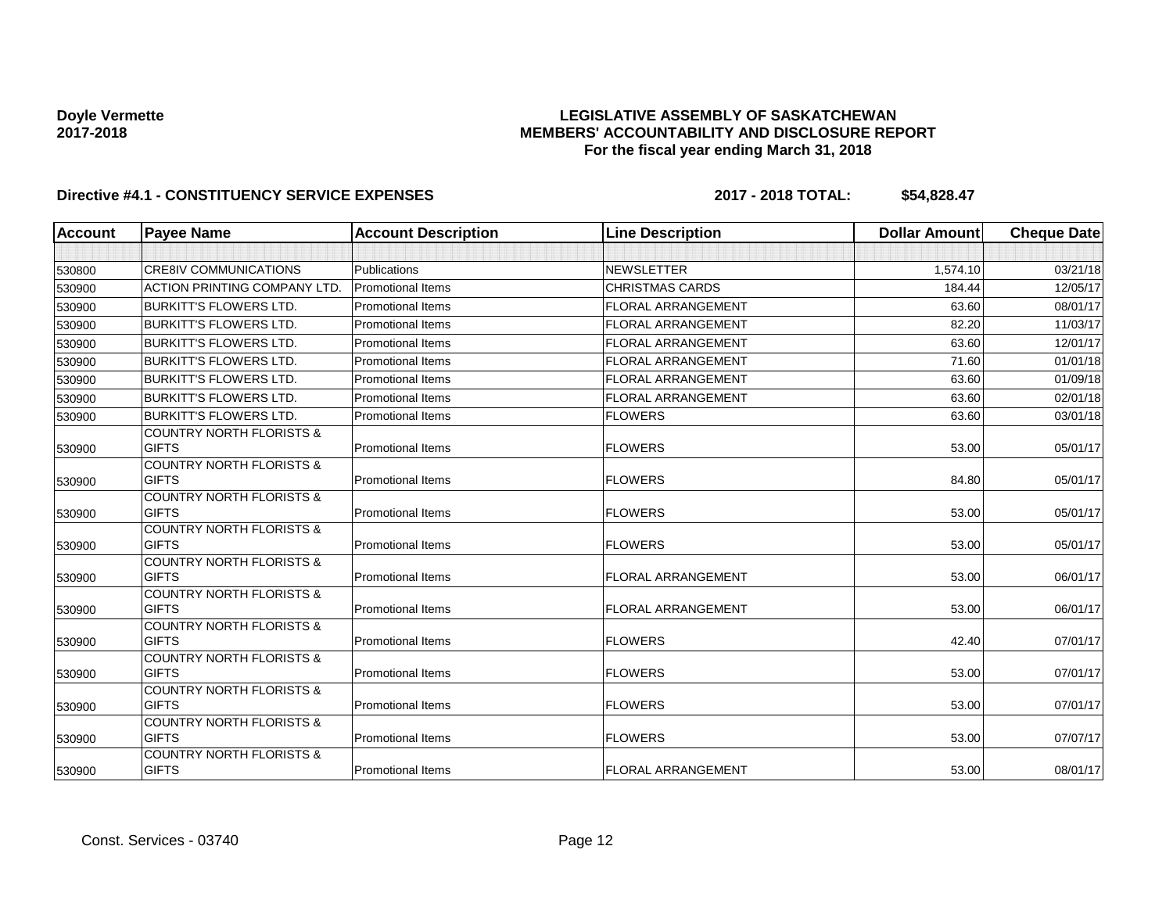### **LEGISLATIVE ASSEMBLY OF SASKATCHEWAN MEMBERS' ACCOUNTABILITY AND DISCLOSURE REPORT For the fiscal year ending March 31, 2018**

| <b>Account</b> | <b>Payee Name</b>                                   | <b>Account Description</b> | <b>Line Description</b>   | <b>Dollar Amount</b> | <b>Cheque Date</b> |
|----------------|-----------------------------------------------------|----------------------------|---------------------------|----------------------|--------------------|
|                |                                                     |                            |                           |                      |                    |
| 530800         | <b>CRE8IV COMMUNICATIONS</b>                        | <b>Publications</b>        | <b>NEWSLETTER</b>         | 1.574.10             | 03/21/18           |
| 530900         | <b>ACTION PRINTING COMPANY LTD</b>                  | <b>Promotional Items</b>   | <b>CHRISTMAS CARDS</b>    | 184.44               | 12/05/17           |
| 530900         | <b>BURKITT'S FLOWERS LTD.</b>                       | <b>Promotional Items</b>   | <b>FLORAL ARRANGEMENT</b> | 63.60                | 08/01/17           |
| 530900         | <b>BURKITT'S FLOWERS LTD.</b>                       | <b>Promotional Items</b>   | <b>FLORAL ARRANGEMENT</b> | 82.20                | 11/03/17           |
| 530900         | <b>BURKITT'S FLOWERS LTD.</b>                       | <b>Promotional Items</b>   | <b>FLORAL ARRANGEMENT</b> | 63.60                | 12/01/17           |
| 530900         | <b>BURKITT'S FLOWERS LTD.</b>                       | <b>Promotional Items</b>   | <b>FLORAL ARRANGEMENT</b> | 71.60                | 01/01/18           |
| 530900         | <b>BURKITT'S FLOWERS LTD.</b>                       | <b>Promotional Items</b>   | <b>FLORAL ARRANGEMENT</b> | 63.60                | 01/09/18           |
| 530900         | <b>BURKITT'S FLOWERS LTD.</b>                       | <b>Promotional Items</b>   | <b>FLORAL ARRANGEMENT</b> | 63.60                | 02/01/18           |
| 530900         | <b>BURKITT'S FLOWERS LTD.</b>                       | <b>Promotional Items</b>   | <b>FLOWERS</b>            | 63.60                | 03/01/18           |
| 530900         | <b>COUNTRY NORTH FLORISTS &amp;</b><br><b>GIFTS</b> | <b>Promotional Items</b>   | <b>FLOWERS</b>            | 53.00                | 05/01/17           |
| 530900         | <b>COUNTRY NORTH FLORISTS &amp;</b><br><b>GIFTS</b> | <b>Promotional Items</b>   | <b>FLOWERS</b>            | 84.80                | 05/01/17           |
| 530900         | <b>COUNTRY NORTH FLORISTS &amp;</b><br><b>GIFTS</b> | <b>Promotional Items</b>   | <b>FLOWERS</b>            | 53.00                | 05/01/17           |
| 530900         | <b>COUNTRY NORTH FLORISTS &amp;</b><br><b>GIFTS</b> | <b>Promotional Items</b>   | <b>FLOWERS</b>            | 53.00                | 05/01/17           |
| 530900         | <b>COUNTRY NORTH FLORISTS &amp;</b><br><b>GIFTS</b> | <b>Promotional Items</b>   | FLORAL ARRANGEMENT        | 53.00                | 06/01/17           |
| 530900         | <b>COUNTRY NORTH FLORISTS &amp;</b><br><b>GIFTS</b> | <b>Promotional Items</b>   | FLORAL ARRANGEMENT        | 53.00                | 06/01/17           |
| 530900         | <b>COUNTRY NORTH FLORISTS &amp;</b><br><b>GIFTS</b> | <b>Promotional Items</b>   | <b>FLOWERS</b>            | 42.40                | 07/01/17           |
| 530900         | <b>COUNTRY NORTH FLORISTS &amp;</b><br><b>GIFTS</b> | <b>Promotional Items</b>   | <b>FLOWERS</b>            | 53.00                | 07/01/17           |
| 530900         | <b>COUNTRY NORTH FLORISTS &amp;</b><br><b>GIFTS</b> | <b>Promotional Items</b>   | <b>FLOWERS</b>            | 53.00                | 07/01/17           |
| 530900         | <b>COUNTRY NORTH FLORISTS &amp;</b><br><b>GIFTS</b> | <b>Promotional Items</b>   | <b>FLOWERS</b>            | 53.00                | 07/07/17           |
| 530900         | <b>COUNTRY NORTH FLORISTS &amp;</b><br><b>GIFTS</b> | <b>Promotional Items</b>   | <b>FLORAL ARRANGEMENT</b> | 53.00                | 08/01/17           |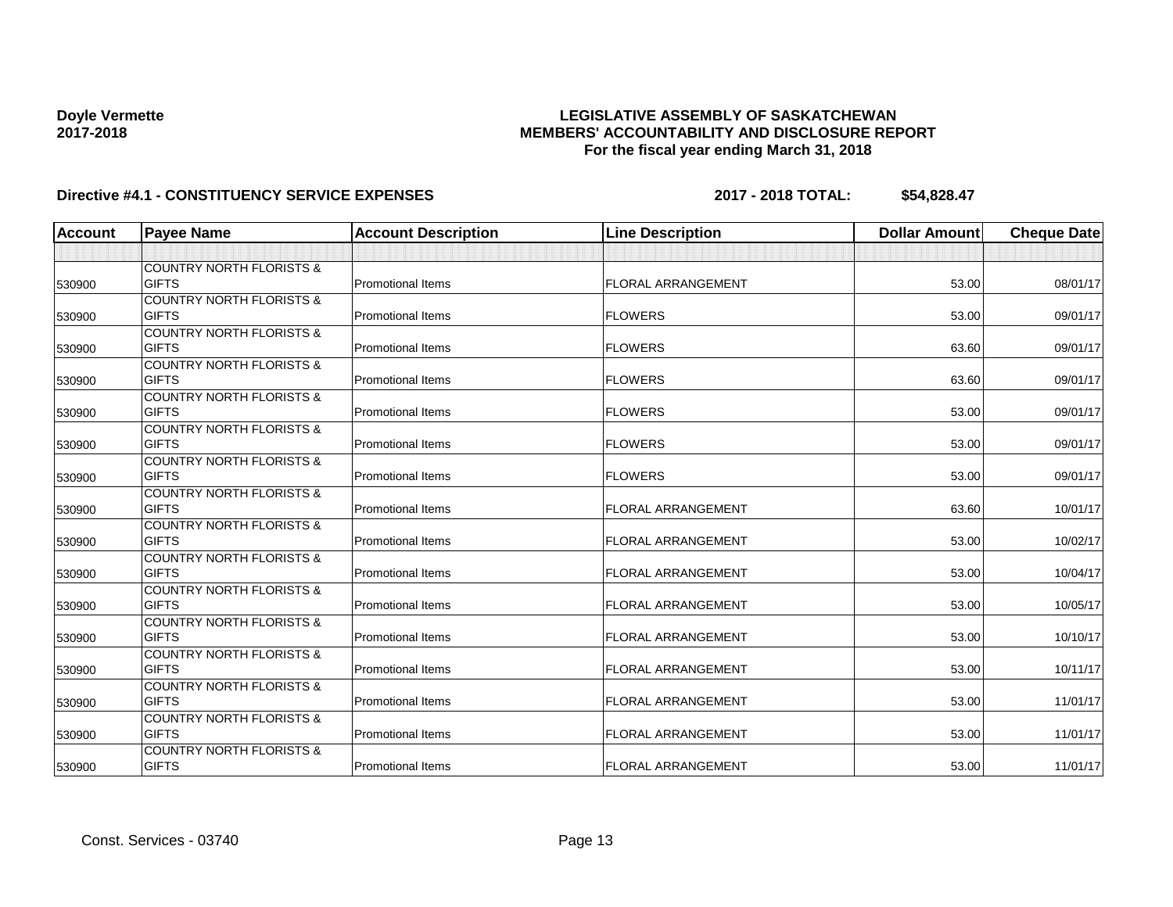### **LEGISLATIVE ASSEMBLY OF SASKATCHEWAN MEMBERS' ACCOUNTABILITY AND DISCLOSURE REPORT For the fiscal year ending March 31, 2018**

| <b>Account</b> | <b>Payee Name</b>                                   | <b>Account Description</b> | <b>Line Description</b>   | <b>Dollar Amount</b> | <b>Cheque Date</b> |
|----------------|-----------------------------------------------------|----------------------------|---------------------------|----------------------|--------------------|
|                |                                                     |                            |                           |                      |                    |
|                | <b>COUNTRY NORTH FLORISTS &amp;</b>                 |                            |                           |                      |                    |
| 530900         | <b>GIFTS</b>                                        | <b>Promotional Items</b>   | <b>FLORAL ARRANGEMENT</b> | 53.00                | 08/01/17           |
|                | <b>COUNTRY NORTH FLORISTS &amp;</b>                 |                            |                           |                      |                    |
| 530900         | <b>GIFTS</b>                                        | <b>Promotional Items</b>   | <b>FLOWERS</b>            | 53.00                | 09/01/17           |
|                | <b>COUNTRY NORTH FLORISTS &amp;</b>                 |                            |                           |                      |                    |
| 530900         | <b>GIFTS</b>                                        | <b>Promotional Items</b>   | <b>FLOWERS</b>            | 63.60                | 09/01/17           |
|                | <b>COUNTRY NORTH FLORISTS &amp;</b>                 |                            |                           |                      |                    |
| 530900         | <b>GIFTS</b>                                        | <b>Promotional Items</b>   | <b>FLOWERS</b>            | 63.60                | 09/01/17           |
|                | <b>COUNTRY NORTH FLORISTS &amp;</b>                 |                            |                           |                      |                    |
| 530900         | <b>GIFTS</b>                                        | <b>Promotional Items</b>   | <b>FLOWERS</b>            | 53.00                | 09/01/17           |
|                | <b>COUNTRY NORTH FLORISTS &amp;</b>                 |                            |                           |                      |                    |
| 530900         | <b>GIFTS</b>                                        | <b>Promotional Items</b>   | <b>FLOWERS</b>            | 53.00                | 09/01/17           |
|                | <b>COUNTRY NORTH FLORISTS &amp;</b>                 |                            |                           |                      |                    |
| 530900         | <b>GIFTS</b>                                        | <b>Promotional Items</b>   | <b>FLOWERS</b>            | 53.00                | 09/01/17           |
|                | <b>COUNTRY NORTH FLORISTS &amp;</b>                 |                            |                           |                      |                    |
| 530900         | <b>GIFTS</b>                                        | <b>Promotional Items</b>   | <b>FLORAL ARRANGEMENT</b> | 63.60                | 10/01/17           |
|                | <b>COUNTRY NORTH FLORISTS &amp;</b>                 |                            |                           |                      |                    |
| 530900         | <b>GIFTS</b>                                        | <b>Promotional Items</b>   | <b>FLORAL ARRANGEMENT</b> | 53.00                | 10/02/17           |
|                | <b>COUNTRY NORTH FLORISTS &amp;</b><br><b>GIFTS</b> |                            |                           |                      | 10/04/17           |
| 530900         |                                                     | <b>Promotional Items</b>   | <b>FLORAL ARRANGEMENT</b> | 53.00                |                    |
|                | <b>COUNTRY NORTH FLORISTS &amp;</b><br><b>GIFTS</b> | <b>Promotional Items</b>   | <b>FLORAL ARRANGEMENT</b> | 53.00                | 10/05/17           |
| 530900         | <b>COUNTRY NORTH FLORISTS &amp;</b>                 |                            |                           |                      |                    |
| 530900         | <b>GIFTS</b>                                        | <b>Promotional Items</b>   | <b>FLORAL ARRANGEMENT</b> | 53.00                | 10/10/17           |
|                | <b>COUNTRY NORTH FLORISTS &amp;</b>                 |                            |                           |                      |                    |
| 530900         | <b>GIFTS</b>                                        | <b>Promotional Items</b>   | <b>FLORAL ARRANGEMENT</b> | 53.00                | 10/11/17           |
|                | <b>COUNTRY NORTH FLORISTS &amp;</b>                 |                            |                           |                      |                    |
| 530900         | <b>GIFTS</b>                                        | <b>Promotional Items</b>   | <b>FLORAL ARRANGEMENT</b> | 53.00                | 11/01/17           |
|                | <b>COUNTRY NORTH FLORISTS &amp;</b>                 |                            |                           |                      |                    |
| 530900         | <b>GIFTS</b>                                        | <b>Promotional Items</b>   | <b>FLORAL ARRANGEMENT</b> | 53.00                | 11/01/17           |
|                | <b>COUNTRY NORTH FLORISTS &amp;</b>                 |                            |                           |                      |                    |
| 530900         | <b>GIFTS</b>                                        | <b>Promotional Items</b>   | <b>FLORAL ARRANGEMENT</b> | 53.00                | 11/01/17           |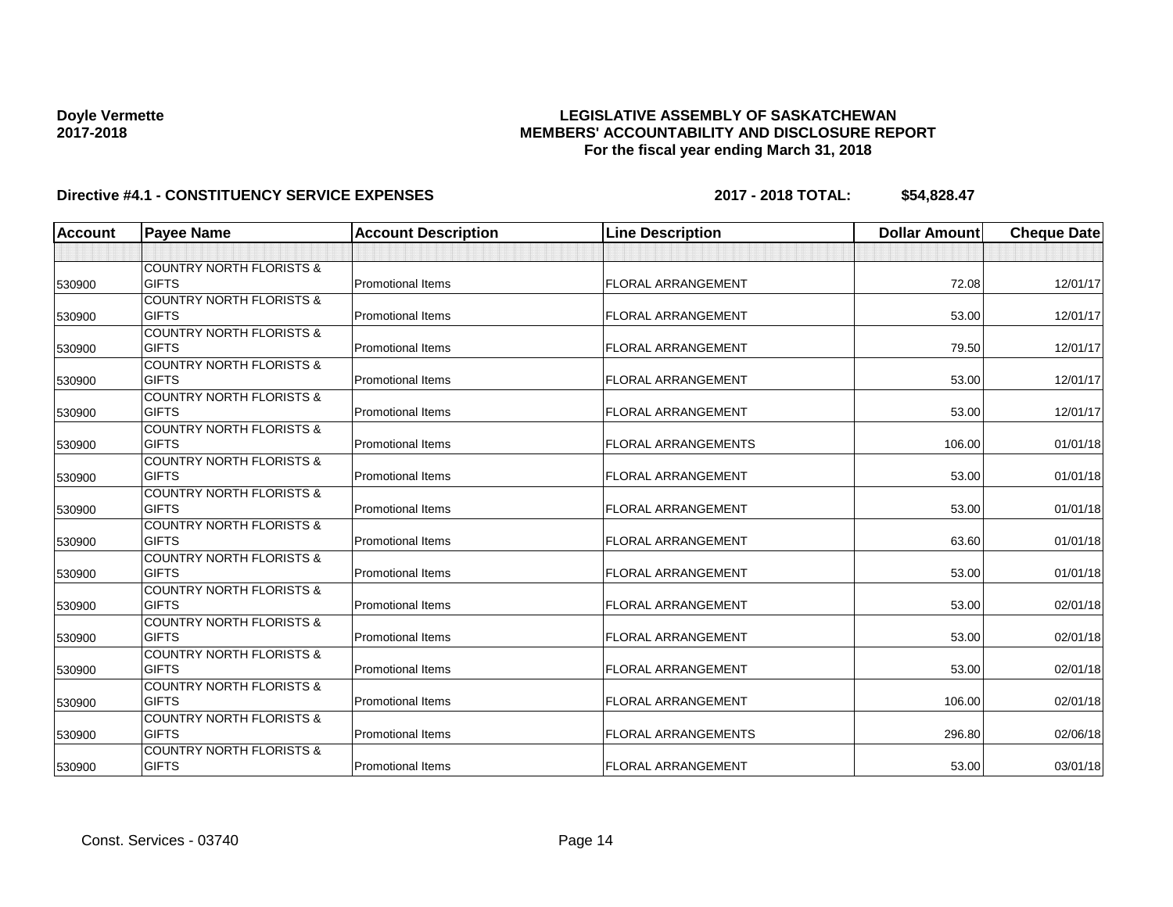### **LEGISLATIVE ASSEMBLY OF SASKATCHEWAN MEMBERS' ACCOUNTABILITY AND DISCLOSURE REPORT For the fiscal year ending March 31, 2018**

| <b>Account</b> | <b>Payee Name</b>                   | <b>Account Description</b> | <b>Line Description</b>    | <b>Dollar Amount</b> | <b>Cheque Date</b> |
|----------------|-------------------------------------|----------------------------|----------------------------|----------------------|--------------------|
|                |                                     |                            |                            |                      |                    |
|                | <b>COUNTRY NORTH FLORISTS &amp;</b> |                            |                            |                      |                    |
| 530900         | <b>GIFTS</b>                        | <b>Promotional Items</b>   | <b>FLORAL ARRANGEMENT</b>  | 72.08                | 12/01/17           |
|                | <b>COUNTRY NORTH FLORISTS &amp;</b> |                            |                            |                      |                    |
| 530900         | <b>GIFTS</b>                        | <b>Promotional Items</b>   | <b>FLORAL ARRANGEMENT</b>  | 53.00                | 12/01/17           |
|                | <b>COUNTRY NORTH FLORISTS &amp;</b> |                            |                            |                      |                    |
| 530900         | <b>GIFTS</b>                        | <b>Promotional Items</b>   | <b>FLORAL ARRANGEMENT</b>  | 79.50                | 12/01/17           |
|                | <b>COUNTRY NORTH FLORISTS &amp;</b> |                            |                            |                      |                    |
| 530900         | <b>GIFTS</b>                        | <b>Promotional Items</b>   | <b>FLORAL ARRANGEMENT</b>  | 53.00                | 12/01/17           |
|                | <b>COUNTRY NORTH FLORISTS &amp;</b> |                            |                            |                      |                    |
| 530900         | <b>GIFTS</b>                        | <b>Promotional Items</b>   | <b>FLORAL ARRANGEMENT</b>  | 53.00                | 12/01/17           |
|                | <b>COUNTRY NORTH FLORISTS &amp;</b> |                            |                            |                      |                    |
| 530900         | <b>GIFTS</b>                        | <b>Promotional Items</b>   | <b>FLORAL ARRANGEMENTS</b> | 106.00               | 01/01/18           |
|                | <b>COUNTRY NORTH FLORISTS &amp;</b> |                            |                            |                      |                    |
| 530900         | <b>GIFTS</b>                        | <b>Promotional Items</b>   | <b>FLORAL ARRANGEMENT</b>  | 53.00                | 01/01/18           |
|                | <b>COUNTRY NORTH FLORISTS &amp;</b> |                            |                            |                      |                    |
| 530900         | <b>GIFTS</b>                        | <b>Promotional Items</b>   | <b>FLORAL ARRANGEMENT</b>  | 53.00                | 01/01/18           |
|                | <b>COUNTRY NORTH FLORISTS &amp;</b> |                            |                            |                      |                    |
| 530900         | <b>GIFTS</b>                        | <b>Promotional Items</b>   | <b>FLORAL ARRANGEMENT</b>  | 63.60                | 01/01/18           |
|                | <b>COUNTRY NORTH FLORISTS &amp;</b> |                            |                            |                      |                    |
| 530900         | <b>GIFTS</b>                        | <b>Promotional Items</b>   | <b>FLORAL ARRANGEMENT</b>  | 53.00                | 01/01/18           |
|                | <b>COUNTRY NORTH FLORISTS &amp;</b> |                            |                            |                      |                    |
| 530900         | <b>GIFTS</b>                        | <b>Promotional Items</b>   | <b>FLORAL ARRANGEMENT</b>  | 53.00                | 02/01/18           |
|                | <b>COUNTRY NORTH FLORISTS &amp;</b> |                            |                            |                      |                    |
| 530900         | <b>GIFTS</b>                        | <b>Promotional Items</b>   | <b>FLORAL ARRANGEMENT</b>  | 53.00                | 02/01/18           |
|                | <b>COUNTRY NORTH FLORISTS &amp;</b> |                            |                            |                      |                    |
| 530900         | <b>GIFTS</b>                        | <b>Promotional Items</b>   | <b>FLORAL ARRANGEMENT</b>  | 53.00                | 02/01/18           |
|                | <b>COUNTRY NORTH FLORISTS &amp;</b> |                            |                            |                      |                    |
| 530900         | <b>GIFTS</b>                        | <b>Promotional Items</b>   | <b>FLORAL ARRANGEMENT</b>  | 106.00               | 02/01/18           |
|                | <b>COUNTRY NORTH FLORISTS &amp;</b> |                            |                            |                      |                    |
| 530900         | <b>GIFTS</b>                        | <b>Promotional Items</b>   | <b>FLORAL ARRANGEMENTS</b> | 296.80               | 02/06/18           |
|                | <b>COUNTRY NORTH FLORISTS &amp;</b> |                            |                            |                      |                    |
| 530900         | <b>GIFTS</b>                        | <b>Promotional Items</b>   | <b>FLORAL ARRANGEMENT</b>  | 53.00                | 03/01/18           |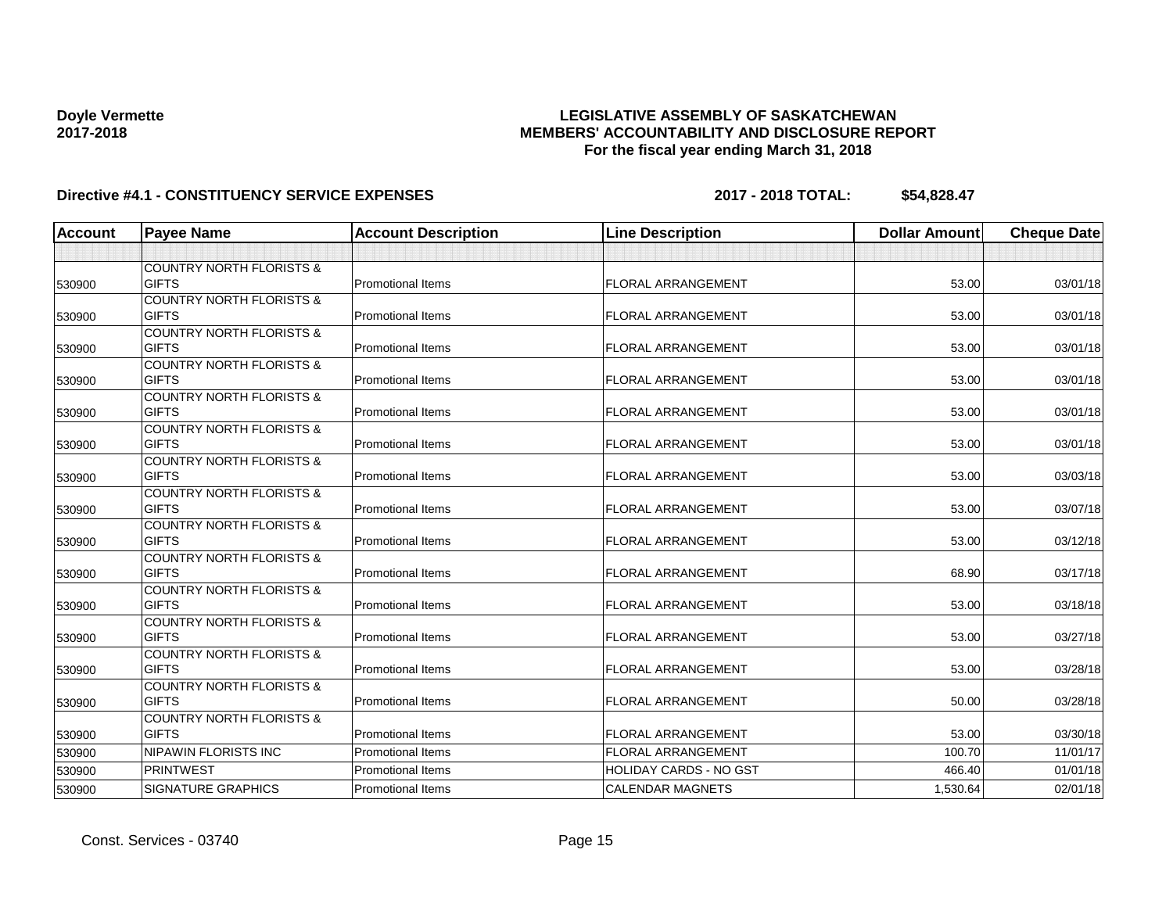### **LEGISLATIVE ASSEMBLY OF SASKATCHEWAN MEMBERS' ACCOUNTABILITY AND DISCLOSURE REPORT For the fiscal year ending March 31, 2018**

| <b>Account</b> | <b>Payee Name</b>                                   | <b>Account Description</b> | <b>Line Description</b>       | <b>Dollar Amount</b> | <b>Cheque Date</b> |
|----------------|-----------------------------------------------------|----------------------------|-------------------------------|----------------------|--------------------|
|                |                                                     |                            |                               |                      |                    |
|                | <b>COUNTRY NORTH FLORISTS &amp;</b>                 |                            |                               |                      |                    |
| 530900         | <b>GIFTS</b>                                        | <b>Promotional Items</b>   | <b>FLORAL ARRANGEMENT</b>     | 53.00                | 03/01/18           |
|                | <b>COUNTRY NORTH FLORISTS &amp;</b>                 |                            |                               |                      |                    |
| 530900         | <b>GIFTS</b>                                        | <b>Promotional Items</b>   | <b>FLORAL ARRANGEMENT</b>     | 53.00                | 03/01/18           |
|                | <b>COUNTRY NORTH FLORISTS &amp;</b>                 |                            |                               |                      |                    |
| 530900         | <b>GIFTS</b>                                        | <b>Promotional Items</b>   | <b>FLORAL ARRANGEMENT</b>     | 53.00                | 03/01/18           |
|                | <b>COUNTRY NORTH FLORISTS &amp;</b>                 |                            |                               |                      |                    |
| 530900         | <b>GIFTS</b>                                        | <b>Promotional Items</b>   | <b>FLORAL ARRANGEMENT</b>     | 53.00                | 03/01/18           |
|                | <b>COUNTRY NORTH FLORISTS &amp;</b>                 |                            |                               |                      |                    |
| 530900         | <b>GIFTS</b>                                        | <b>Promotional Items</b>   | <b>FLORAL ARRANGEMENT</b>     | 53.00                | 03/01/18           |
|                | <b>COUNTRY NORTH FLORISTS &amp;</b>                 |                            |                               |                      |                    |
| 530900         | <b>GIFTS</b>                                        | <b>Promotional Items</b>   | <b>FLORAL ARRANGEMENT</b>     | 53.00                | 03/01/18           |
|                | <b>COUNTRY NORTH FLORISTS &amp;</b>                 |                            |                               |                      |                    |
| 530900         | <b>GIFTS</b>                                        | <b>Promotional Items</b>   | <b>FLORAL ARRANGEMENT</b>     | 53.00                | 03/03/18           |
|                | <b>COUNTRY NORTH FLORISTS &amp;</b><br><b>GIFTS</b> | <b>Promotional Items</b>   | <b>FLORAL ARRANGEMENT</b>     | 53.00                | 03/07/18           |
| 530900         | <b>COUNTRY NORTH FLORISTS &amp;</b>                 |                            |                               |                      |                    |
| 530900         | <b>GIFTS</b>                                        | <b>Promotional Items</b>   | <b>FLORAL ARRANGEMENT</b>     | 53.00                | 03/12/18           |
|                | <b>COUNTRY NORTH FLORISTS &amp;</b>                 |                            |                               |                      |                    |
| 530900         | <b>GIFTS</b>                                        | <b>Promotional Items</b>   | <b>FLORAL ARRANGEMENT</b>     | 68.90                | 03/17/18           |
|                | <b>COUNTRY NORTH FLORISTS &amp;</b>                 |                            |                               |                      |                    |
| 530900         | <b>GIFTS</b>                                        | <b>Promotional Items</b>   | FLORAL ARRANGEMENT            | 53.00                | 03/18/18           |
|                | <b>COUNTRY NORTH FLORISTS &amp;</b>                 |                            |                               |                      |                    |
| 530900         | <b>GIFTS</b>                                        | <b>Promotional Items</b>   | <b>FLORAL ARRANGEMENT</b>     | 53.00                | 03/27/18           |
|                | <b>COUNTRY NORTH FLORISTS &amp;</b>                 |                            |                               |                      |                    |
| 530900         | <b>GIFTS</b>                                        | <b>Promotional Items</b>   | <b>FLORAL ARRANGEMENT</b>     | 53.00                | 03/28/18           |
|                | <b>COUNTRY NORTH FLORISTS &amp;</b>                 |                            |                               |                      |                    |
| 530900         | <b>GIFTS</b>                                        | <b>Promotional Items</b>   | <b>FLORAL ARRANGEMENT</b>     | 50.00                | 03/28/18           |
|                | <b>COUNTRY NORTH FLORISTS &amp;</b>                 |                            |                               |                      |                    |
| 530900         | <b>GIFTS</b>                                        | <b>Promotional Items</b>   | <b>FLORAL ARRANGEMENT</b>     | 53.00                | 03/30/18           |
| 530900         | NIPAWIN FLORISTS INC                                | <b>Promotional Items</b>   | <b>FLORAL ARRANGEMENT</b>     | 100.70               | 11/01/17           |
| 530900         | <b>PRINTWEST</b>                                    | <b>Promotional Items</b>   | <b>HOLIDAY CARDS - NO GST</b> | 466.40               | 01/01/18           |
| 530900         | <b>SIGNATURE GRAPHICS</b>                           | <b>Promotional Items</b>   | <b>CALENDAR MAGNETS</b>       | 1,530.64             | 02/01/18           |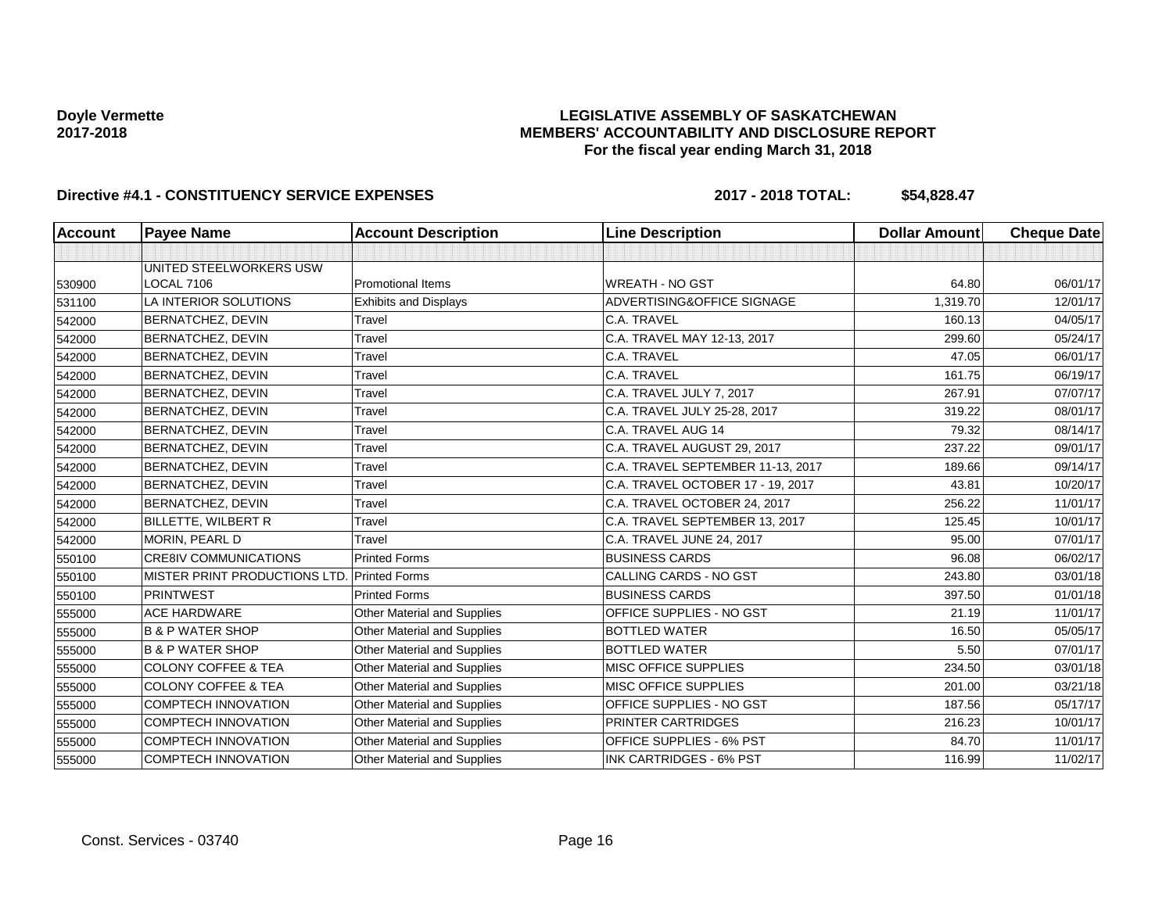### **LEGISLATIVE ASSEMBLY OF SASKATCHEWAN MEMBERS' ACCOUNTABILITY AND DISCLOSURE REPORT For the fiscal year ending March 31, 2018**

| Account | <b>Payee Name</b>              | <b>Account Description</b>   | <b>Line Description</b>           | <b>Dollar Amount</b> | <b>Cheque Date</b> |
|---------|--------------------------------|------------------------------|-----------------------------------|----------------------|--------------------|
|         |                                |                              |                                   |                      |                    |
|         | UNITED STEELWORKERS USW        |                              |                                   |                      |                    |
| 530900  | <b>LOCAL 7106</b>              | <b>Promotional Items</b>     | <b>WREATH - NO GST</b>            | 64.80                | 06/01/17           |
| 531100  | LA INTERIOR SOLUTIONS          | <b>Exhibits and Displays</b> | ADVERTISING&OFFICE SIGNAGE        | 1,319.70             | 12/01/17           |
| 542000  | BERNATCHEZ, DEVIN              | Travel                       | C.A. TRAVEL                       | 160.13               | 04/05/17           |
| 542000  | <b>BERNATCHEZ, DEVIN</b>       | Travel                       | C.A. TRAVEL MAY 12-13, 2017       | 299.60               | 05/24/17           |
| 542000  | BERNATCHEZ, DEVIN              | Travel                       | C.A. TRAVEL                       | 47.05                | 06/01/17           |
| 542000  | BERNATCHEZ, DEVIN              | Travel                       | C.A. TRAVEL                       | 161.75               | 06/19/17           |
| 542000  | BERNATCHEZ, DEVIN              | Travel                       | C.A. TRAVEL JULY 7, 2017          | 267.91               | 07/07/17           |
| 542000  | BERNATCHEZ, DEVIN              | Travel                       | C.A. TRAVEL JULY 25-28, 2017      | 319.22               | 08/01/17           |
| 542000  | BERNATCHEZ, DEVIN              | Travel                       | C.A. TRAVEL AUG 14                | 79.32                | 08/14/17           |
| 542000  | <b>BERNATCHEZ, DEVIN</b>       | Travel                       | C.A. TRAVEL AUGUST 29, 2017       | 237.22               | 09/01/17           |
| 542000  | BERNATCHEZ, DEVIN              | Travel                       | C.A. TRAVEL SEPTEMBER 11-13, 2017 | 189.66               | 09/14/17           |
| 542000  | BERNATCHEZ, DEVIN              | Travel                       | C.A. TRAVEL OCTOBER 17 - 19, 2017 | 43.81                | 10/20/17           |
| 542000  | <b>BERNATCHEZ, DEVIN</b>       | Travel                       | C.A. TRAVEL OCTOBER 24, 2017      | 256.22               | 11/01/17           |
| 542000  | <b>BILLETTE, WILBERT R</b>     | Travel                       | C.A. TRAVEL SEPTEMBER 13, 2017    | 125.45               | 10/01/17           |
| 542000  | MORIN, PEARL D                 | Travel                       | C.A. TRAVEL JUNE 24, 2017         | 95.00                | 07/01/17           |
| 550100  | <b>CRE8IV COMMUNICATIONS</b>   | <b>Printed Forms</b>         | <b>BUSINESS CARDS</b>             | 96.08                | 06/02/17           |
| 550100  | MISTER PRINT PRODUCTIONS LTD.  | <b>Printed Forms</b>         | <b>CALLING CARDS - NO GST</b>     | 243.80               | 03/01/18           |
| 550100  | <b>PRINTWEST</b>               | <b>Printed Forms</b>         | <b>BUSINESS CARDS</b>             | 397.50               | 01/01/18           |
| 555000  | <b>ACE HARDWARE</b>            | Other Material and Supplies  | OFFICE SUPPLIES - NO GST          | 21.19                | 11/01/17           |
| 555000  | <b>B &amp; P WATER SHOP</b>    | Other Material and Supplies  | <b>BOTTLED WATER</b>              | 16.50                | 05/05/17           |
| 555000  | <b>B &amp; P WATER SHOP</b>    | Other Material and Supplies  | <b>BOTTLED WATER</b>              | 5.50                 | 07/01/17           |
| 555000  | <b>COLONY COFFEE &amp; TEA</b> | Other Material and Supplies  | MISC OFFICE SUPPLIES              | 234.50               | 03/01/18           |
| 555000  | <b>COLONY COFFEE &amp; TEA</b> | Other Material and Supplies  | MISC OFFICE SUPPLIES              | 201.00               | 03/21/18           |
| 555000  | <b>COMPTECH INNOVATION</b>     | Other Material and Supplies  | OFFICE SUPPLIES - NO GST          | 187.56               | 05/17/17           |
| 555000  | <b>COMPTECH INNOVATION</b>     | Other Material and Supplies  | PRINTER CARTRIDGES                | 216.23               | 10/01/17           |
| 555000  | <b>COMPTECH INNOVATION</b>     | Other Material and Supplies  | OFFICE SUPPLIES - 6% PST          | 84.70                | 11/01/17           |
| 555000  | <b>COMPTECH INNOVATION</b>     | Other Material and Supplies  | <b>INK CARTRIDGES - 6% PST</b>    | 116.99               | 11/02/17           |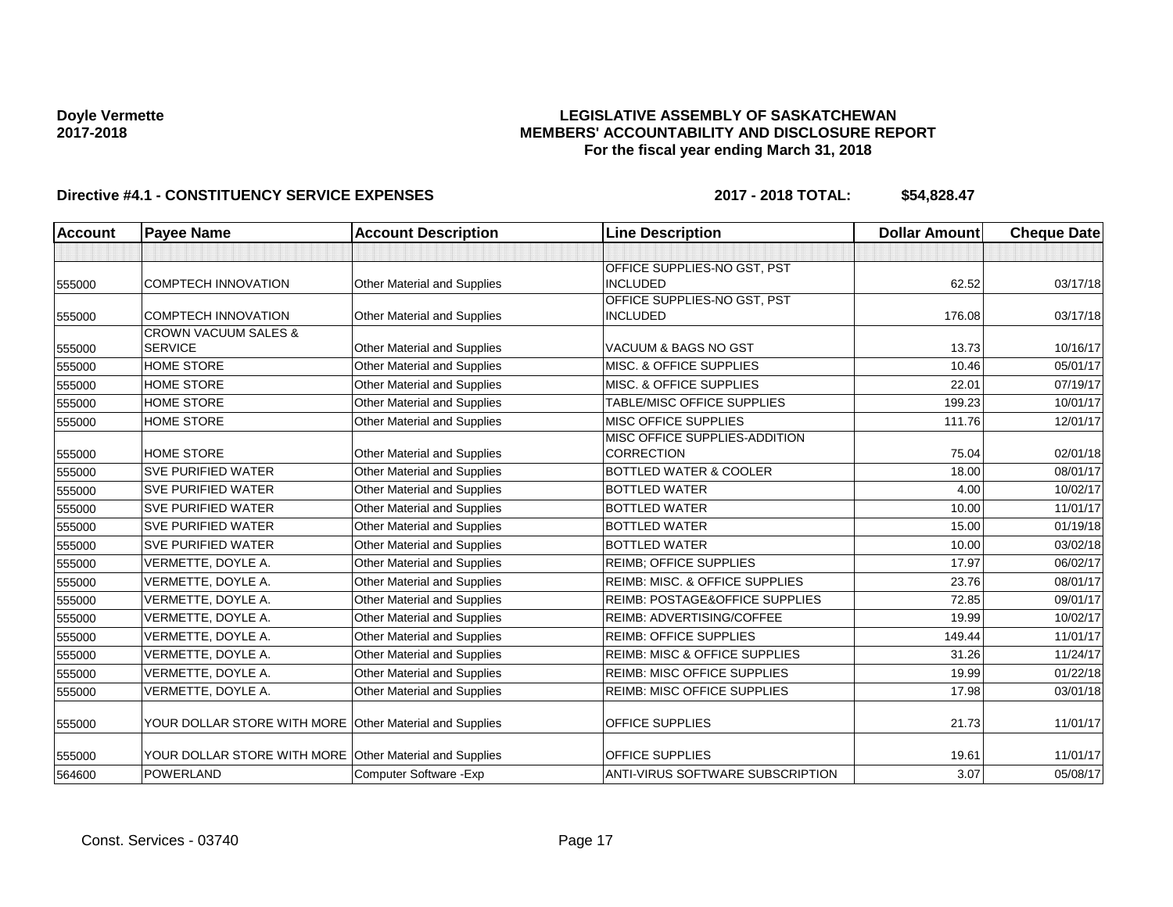### **LEGISLATIVE ASSEMBLY OF SASKATCHEWAN MEMBERS' ACCOUNTABILITY AND DISCLOSURE REPORT For the fiscal year ending March 31, 2018**

| Account | <b>Payee Name</b>                                       | <b>Account Description</b>         | <b>Line Description</b>                            | <b>Dollar Amount</b> | <b>Cheque Date</b> |
|---------|---------------------------------------------------------|------------------------------------|----------------------------------------------------|----------------------|--------------------|
|         |                                                         |                                    |                                                    |                      |                    |
| 555000  | <b>COMPTECH INNOVATION</b>                              | Other Material and Supplies        | OFFICE SUPPLIES-NO GST, PST<br><b>INCLUDED</b>     | 62.52                | 03/17/18           |
| 555000  | <b>COMPTECH INNOVATION</b>                              | Other Material and Supplies        | OFFICE SUPPLIES-NO GST, PST<br><b>INCLUDED</b>     | 176.08               | 03/17/18           |
| 555000  | <b>CROWN VACUUM SALES &amp;</b><br><b>SERVICE</b>       | Other Material and Supplies        | <b>VACUUM &amp; BAGS NO GST</b>                    | 13.73                | 10/16/17           |
| 555000  | <b>HOME STORE</b>                                       | Other Material and Supplies        | <b>MISC. &amp; OFFICE SUPPLIES</b>                 | 10.46                | 05/01/17           |
| 555000  | <b>HOME STORE</b>                                       | Other Material and Supplies        | MISC. & OFFICE SUPPLIES                            | 22.01                | 07/19/17           |
| 555000  | <b>HOME STORE</b>                                       | Other Material and Supplies        | TABLE/MISC OFFICE SUPPLIES                         | 199.23               | 10/01/17           |
| 555000  | <b>HOME STORE</b>                                       | Other Material and Supplies        | MISC OFFICE SUPPLIES                               | 111.76               | 12/01/17           |
| 555000  | <b>HOME STORE</b>                                       | <b>Other Material and Supplies</b> | MISC OFFICE SUPPLIES-ADDITION<br><b>CORRECTION</b> | 75.04                | 02/01/18           |
| 555000  | <b>SVE PURIFIED WATER</b>                               | Other Material and Supplies        | BOTTLED WATER & COOLER                             | 18.00                | 08/01/17           |
| 555000  | <b>SVE PURIFIED WATER</b>                               | Other Material and Supplies        | <b>BOTTLED WATER</b>                               | 4.00                 | 10/02/17           |
| 555000  | <b>SVE PURIFIED WATER</b>                               | Other Material and Supplies        | <b>BOTTLED WATER</b>                               | 10.00                | 11/01/17           |
| 555000  | <b>SVE PURIFIED WATER</b>                               | Other Material and Supplies        | <b>BOTTLED WATER</b>                               | 15.00                | 01/19/18           |
| 555000  | <b>SVE PURIFIED WATER</b>                               | Other Material and Supplies        | <b>BOTTLED WATER</b>                               | 10.00                | 03/02/18           |
| 555000  | VERMETTE, DOYLE A.                                      | Other Material and Supplies        | <b>REIMB: OFFICE SUPPLIES</b>                      | 17.97                | 06/02/17           |
| 555000  | VERMETTE, DOYLE A.                                      | <b>Other Material and Supplies</b> | REIMB: MISC. & OFFICE SUPPLIES                     | 23.76                | 08/01/17           |
| 555000  | VERMETTE, DOYLE A.                                      | Other Material and Supplies        | REIMB: POSTAGE&OFFICE SUPPLIES                     | 72.85                | 09/01/17           |
| 555000  | VERMETTE, DOYLE A.                                      | Other Material and Supplies        | REIMB: ADVERTISING/COFFEE                          | 19.99                | 10/02/17           |
| 555000  | VERMETTE, DOYLE A.                                      | Other Material and Supplies        | <b>REIMB: OFFICE SUPPLIES</b>                      | 149.44               | 11/01/17           |
| 555000  | VERMETTE, DOYLE A.                                      | Other Material and Supplies        | <b>REIMB: MISC &amp; OFFICE SUPPLIES</b>           | 31.26                | 11/24/17           |
| 555000  | VERMETTE, DOYLE A.                                      | Other Material and Supplies        | <b>REIMB: MISC OFFICE SUPPLIES</b>                 | 19.99                | 01/22/18           |
| 555000  | VERMETTE, DOYLE A.                                      | Other Material and Supplies        | <b>REIMB: MISC OFFICE SUPPLIES</b>                 | 17.98                | 03/01/18           |
| 555000  | YOUR DOLLAR STORE WITH MORE Other Material and Supplies |                                    | <b>OFFICE SUPPLIES</b>                             | 21.73                | 11/01/17           |
| 555000  | YOUR DOLLAR STORE WITH MORE Other Material and Supplies |                                    | <b>OFFICE SUPPLIES</b>                             | 19.61                | 11/01/17           |
| 564600  | <b>POWERLAND</b>                                        | Computer Software - Exp            | <b>ANTI-VIRUS SOFTWARE SUBSCRIPTION</b>            | 3.07                 | 05/08/17           |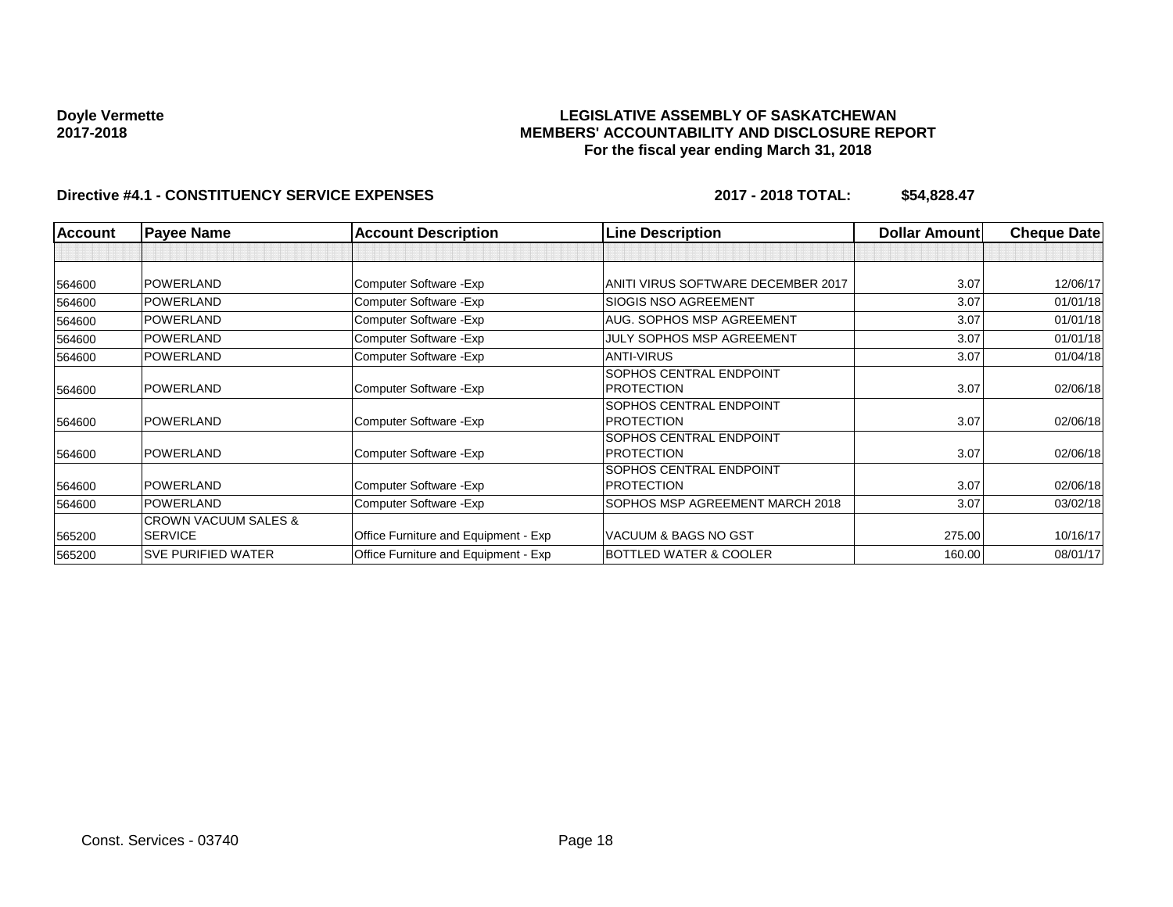### **LEGISLATIVE ASSEMBLY OF SASKATCHEWAN MEMBERS' ACCOUNTABILITY AND DISCLOSURE REPORT For the fiscal year ending March 31, 2018**

| <b>Account</b> | <b>Payee Name</b>                                 | <b>Account Description</b>           | <b>Line Description</b>                      | <b>Dollar Amount</b> | <b>Cheque Date</b> |
|----------------|---------------------------------------------------|--------------------------------------|----------------------------------------------|----------------------|--------------------|
|                |                                                   |                                      |                                              |                      |                    |
| 564600         | <b>POWERLAND</b>                                  | Computer Software - Exp              | ANITI VIRUS SOFTWARE DECEMBER 2017           | 3.07                 | 12/06/17           |
| 564600         | <b>POWERLAND</b>                                  | Computer Software - Exp              | <b>SIOGIS NSO AGREEMENT</b>                  | 3.07                 | 01/01/18           |
| 564600         | POWERLAND                                         | Computer Software - Exp              | <b>AUG. SOPHOS MSP AGREEMENT</b>             | 3.07                 | 01/01/18           |
| 564600         | <b>POWERLAND</b>                                  | Computer Software - Exp              | <b>JULY SOPHOS MSP AGREEMENT</b>             | 3.07                 | 01/01/18           |
| 564600         | <b>POWERLAND</b>                                  | Computer Software - Exp              | <b>ANTI-VIRUS</b>                            | 3.07                 | 01/04/18           |
| 564600         | <b>POWERLAND</b>                                  | Computer Software - Exp              | SOPHOS CENTRAL ENDPOINT<br><b>PROTECTION</b> | 3.07                 | 02/06/18           |
| 564600         | <b>POWERLAND</b>                                  | Computer Software - Exp              | SOPHOS CENTRAL ENDPOINT<br><b>PROTECTION</b> | 3.07                 | 02/06/18           |
| 564600         | <b>POWERLAND</b>                                  | Computer Software - Exp              | SOPHOS CENTRAL ENDPOINT<br><b>PROTECTION</b> | 3.07                 | 02/06/18           |
| 564600         | <b>POWERLAND</b>                                  | Computer Software - Exp              | SOPHOS CENTRAL ENDPOINT<br><b>PROTECTION</b> | 3.07                 | 02/06/18           |
| 564600         | <b>POWERLAND</b>                                  | Computer Software - Exp              | SOPHOS MSP AGREEMENT MARCH 2018              | 3.07                 | 03/02/18           |
| 565200         | <b>CROWN VACUUM SALES &amp;</b><br><b>SERVICE</b> | Office Furniture and Equipment - Exp | VACUUM & BAGS NO GST                         | 275.00               | 10/16/17           |
| 565200         | <b>SVE PURIFIED WATER</b>                         | Office Furniture and Equipment - Exp | <b>BOTTLED WATER &amp; COOLER</b>            | 160.00               | 08/01/17           |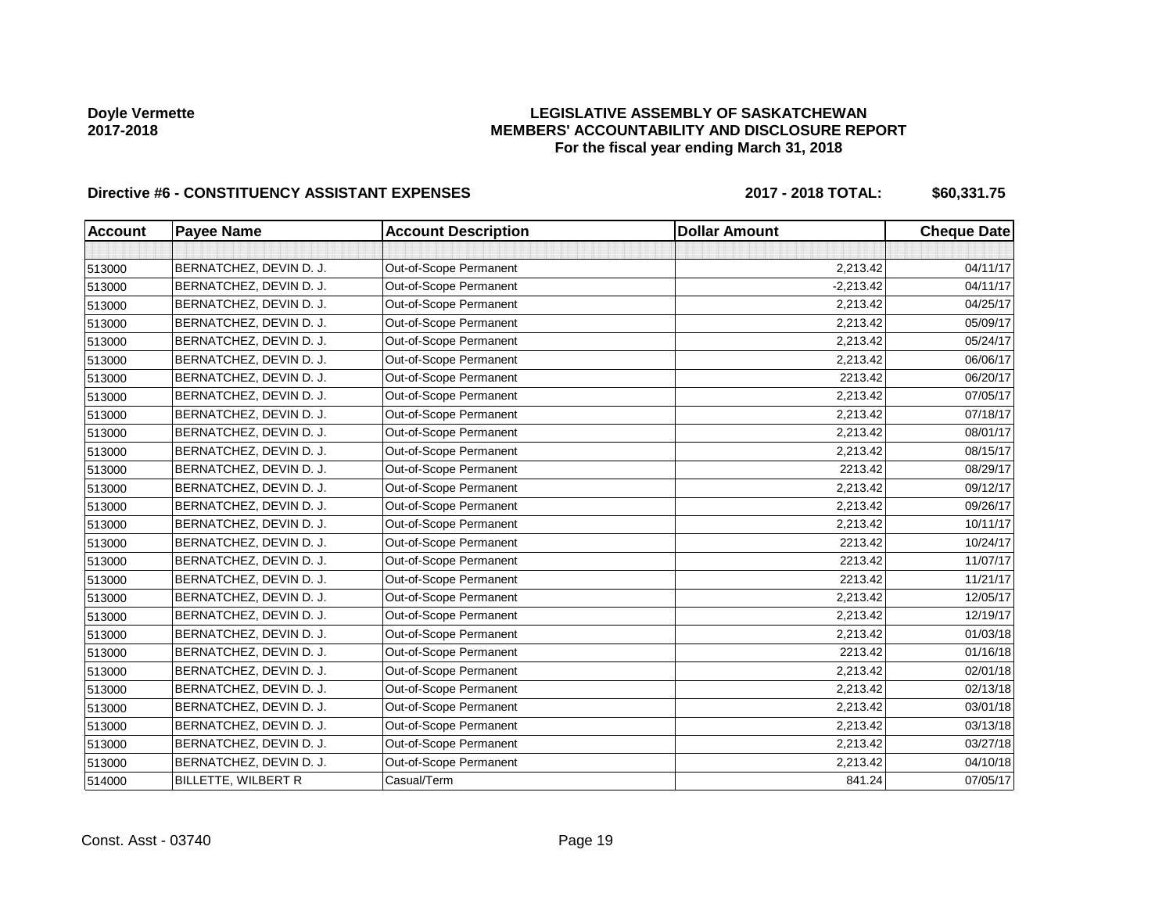### **LEGISLATIVE ASSEMBLY OF SASKATCHEWAN MEMBERS' ACCOUNTABILITY AND DISCLOSURE REPORT For the fiscal year ending March 31, 2018**

# Directive #6 - CONSTITUENCY ASSISTANT EXPENSES 2017 - 2018 TOTAL: \$60,331.75

| <b>Account</b> | <b>Payee Name</b>       | <b>Account Description</b> | <b>Dollar Amount</b> | <b>Cheque Date</b> |
|----------------|-------------------------|----------------------------|----------------------|--------------------|
|                |                         |                            |                      |                    |
| 513000         | BERNATCHEZ, DEVIN D. J. | Out-of-Scope Permanent     | 2,213.42             | 04/11/17           |
| 513000         | BERNATCHEZ, DEVIN D. J. | Out-of-Scope Permanent     | $-2,213.42$          | 04/11/17           |
| 513000         | BERNATCHEZ, DEVIN D. J. | Out-of-Scope Permanent     | 2,213.42             | 04/25/17           |
| 513000         | BERNATCHEZ, DEVIN D. J. | Out-of-Scope Permanent     | 2,213.42             | 05/09/17           |
| 513000         | BERNATCHEZ, DEVIN D. J. | Out-of-Scope Permanent     | 2,213.42             | 05/24/17           |
| 513000         | BERNATCHEZ, DEVIN D. J. | Out-of-Scope Permanent     | 2,213.42             | 06/06/17           |
| 513000         | BERNATCHEZ, DEVIN D. J. | Out-of-Scope Permanent     | 2213.42              | 06/20/17           |
| 513000         | BERNATCHEZ, DEVIN D. J. | Out-of-Scope Permanent     | 2,213.42             | 07/05/17           |
| 513000         | BERNATCHEZ, DEVIN D. J. | Out-of-Scope Permanent     | 2,213.42             | 07/18/17           |
| 513000         | BERNATCHEZ, DEVIN D. J. | Out-of-Scope Permanent     | 2,213.42             | 08/01/17           |
| 513000         | BERNATCHEZ, DEVIN D. J. | Out-of-Scope Permanent     | 2,213.42             | 08/15/17           |
| 513000         | BERNATCHEZ, DEVIN D. J. | Out-of-Scope Permanent     | 2213.42              | 08/29/17           |
| 513000         | BERNATCHEZ, DEVIN D. J. | Out-of-Scope Permanent     | 2,213.42             | 09/12/17           |
| 513000         | BERNATCHEZ, DEVIN D. J. | Out-of-Scope Permanent     | 2,213.42             | 09/26/17           |
| 513000         | BERNATCHEZ, DEVIN D. J. | Out-of-Scope Permanent     | 2,213.42             | 10/11/17           |
| 513000         | BERNATCHEZ, DEVIN D. J. | Out-of-Scope Permanent     | 2213.42              | 10/24/17           |
| 513000         | BERNATCHEZ, DEVIN D. J. | Out-of-Scope Permanent     | 2213.42              | 11/07/17           |
| 513000         | BERNATCHEZ, DEVIN D. J. | Out-of-Scope Permanent     | 2213.42              | 11/21/17           |
| 513000         | BERNATCHEZ, DEVIN D. J. | Out-of-Scope Permanent     | 2,213.42             | 12/05/17           |
| 513000         | BERNATCHEZ, DEVIN D. J. | Out-of-Scope Permanent     | 2,213.42             | 12/19/17           |
| 513000         | BERNATCHEZ, DEVIN D. J. | Out-of-Scope Permanent     | 2,213.42             | 01/03/18           |
| 513000         | BERNATCHEZ, DEVIN D. J. | Out-of-Scope Permanent     | 2213.42              | 01/16/18           |
| 513000         | BERNATCHEZ, DEVIN D. J. | Out-of-Scope Permanent     | 2,213.42             | 02/01/18           |
| 513000         | BERNATCHEZ, DEVIN D. J. | Out-of-Scope Permanent     | 2,213.42             | 02/13/18           |
| 513000         | BERNATCHEZ, DEVIN D. J. | Out-of-Scope Permanent     | 2,213.42             | 03/01/18           |
| 513000         | BERNATCHEZ, DEVIN D. J. | Out-of-Scope Permanent     | 2,213.42             | 03/13/18           |
| 513000         | BERNATCHEZ, DEVIN D. J. | Out-of-Scope Permanent     | 2,213.42             | 03/27/18           |
| 513000         | BERNATCHEZ, DEVIN D. J. | Out-of-Scope Permanent     | 2,213.42             | 04/10/18           |
| 514000         | BILLETTE, WILBERT R     | Casual/Term                | 841.24               | 07/05/17           |